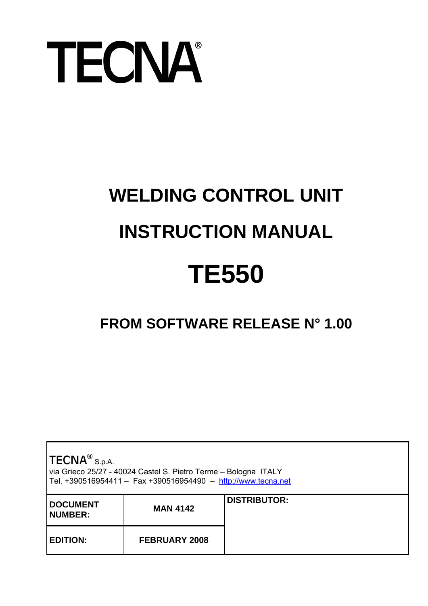# **TECNA®**

# **WELDING CONTROL UNIT INSTRUCTION MANUAL TE550**

## **FROM SOFTWARE RELEASE N° 1.00**

 $\mathsf{TECNA}^\circledR$  s.p.a. via Grieco 25/27 - 40024 Castel S. Pietro Terme – Bologna ITALY Tel. +390516954411 – Fax +390516954490 – [http://www.tecna.net](http://www.tecna.net/)

| <b>DOCUMENT</b><br><b>INUMBER:</b> | <b>MAN 4142</b>      | <b>DISTRIBUTOR:</b> |
|------------------------------------|----------------------|---------------------|
| <b>LEDITION:</b>                   | <b>FEBRUARY 2008</b> |                     |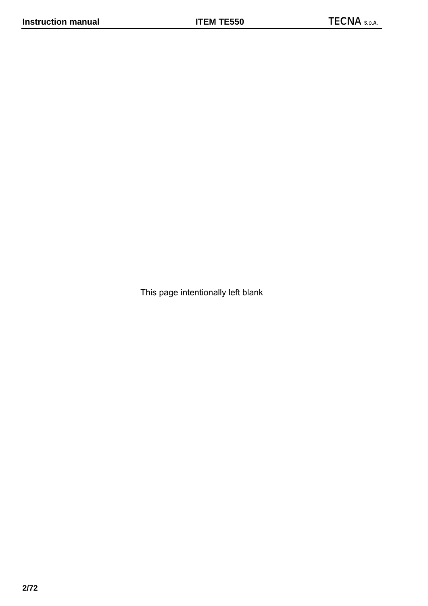This page intentionally left blank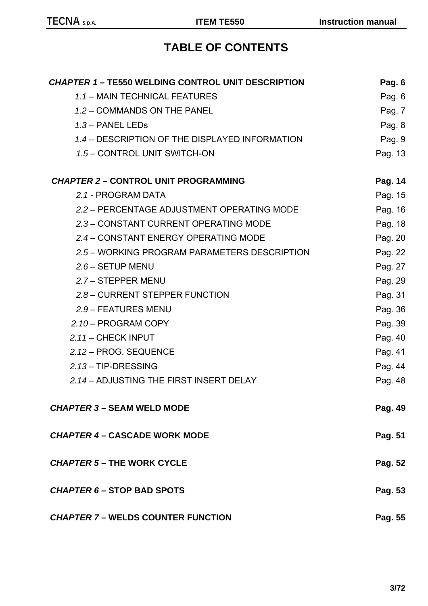### **TABLE OF CONTENTS**

| <b>CHAPTER 1-TE550 WELDING CONTROL UNIT DESCRIPTION</b> | Pag. 6  |
|---------------------------------------------------------|---------|
| 1.1 - MAIN TECHNICAL FEATURES                           | Pag. 6  |
| 1.2 - COMMANDS ON THE PANEL                             | Pag. 7  |
| 1.3 - PANEL LEDs                                        | Pag. 8  |
| 1.4 - DESCRIPTION OF THE DISPLAYED INFORMATION          | Pag. 9  |
| 1.5 - CONTROL UNIT SWITCH-ON                            | Pag. 13 |
| <b>CHAPTER 2 - CONTROL UNIT PROGRAMMING</b>             | Pag. 14 |
| 2.1 - PROGRAM DATA                                      | Pag. 15 |
| 2.2 - PERCENTAGE ADJUSTMENT OPERATING MODE              | Pag. 16 |
| 2.3 - CONSTANT CURRENT OPERATING MODE                   | Pag. 18 |
| 2.4 - CONSTANT ENERGY OPERATING MODE                    | Pag. 20 |
| 2.5 – WORKING PROGRAM PARAMETERS DESCRIPTION            | Pag. 22 |
| $2.6 - SETUP$ MENU                                      | Pag. 27 |
| 2.7 - STEPPER MENU                                      | Pag. 29 |
| 2.8 - CURRENT STEPPER FUNCTION                          | Pag. 31 |
| 2.9 - FEATURES MENU                                     | Pag. 36 |
| 2.10 - PROGRAM COPY                                     | Pag. 39 |
| $2.11 -$ CHECK INPUT                                    | Pag. 40 |
| 2.12 - PROG. SEQUENCE                                   | Pag. 41 |
| 2.13 - TIP-DRESSING                                     | Pag. 44 |
| 2.14 - ADJUSTING THE FIRST INSERT DELAY                 | Pag. 48 |
| <b>CHAPTER 3 - SEAM WELD MODE</b>                       | Pag. 49 |
| <b>CHAPTER 4 - CASCADE WORK MODE</b>                    | Pag. 51 |
| <b>CHAPTER 5 - THE WORK CYCLE</b>                       | Pag. 52 |
| <b>CHAPTER 6 - STOP BAD SPOTS</b>                       | Pag. 53 |
| <b>CHAPTER 7 - WELDS COUNTER FUNCTION</b>               | Pag. 55 |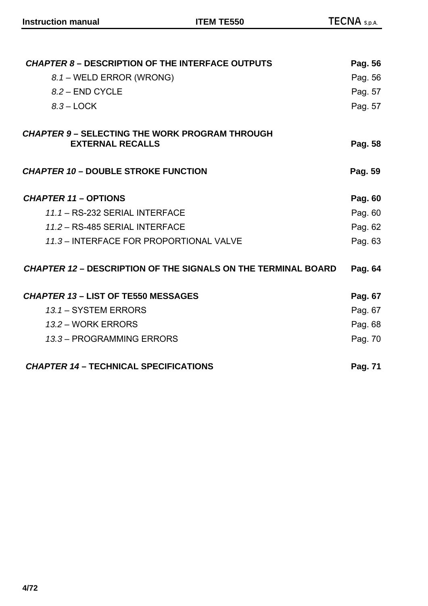| <b>CHAPTER 8 - DESCRIPTION OF THE INTERFACE OUTPUTS</b>                          | Pag. 56 |
|----------------------------------------------------------------------------------|---------|
| 8.1 – WELD ERROR (WRONG)                                                         | Pag. 56 |
| $8.2$ – END CYCLE                                                                | Pag. 57 |
| $8.3 -$ LOCK                                                                     | Pag. 57 |
| <b>CHAPTER 9 - SELECTING THE WORK PROGRAM THROUGH</b><br><b>EXTERNAL RECALLS</b> | Pag. 58 |
| <b>CHAPTER 10 - DOUBLE STROKE FUNCTION</b>                                       | Pag. 59 |
| <b>CHAPTER 11 - OPTIONS</b>                                                      | Pag. 60 |
| 11.1 - RS-232 SERIAL INTERFACE                                                   | Pag. 60 |
| 11.2 - RS-485 SERIAL INTERFACE                                                   | Pag. 62 |
| 11.3 - INTERFACE FOR PROPORTIONAL VALVE                                          | Pag. 63 |
| <b>CHAPTER 12 - DESCRIPTION OF THE SIGNALS ON THE TERMINAL BOARD</b>             | Pag. 64 |
| <b>CHAPTER 13 - LIST OF TE550 MESSAGES</b>                                       | Pag. 67 |
| 13.1 - SYSTEM ERRORS                                                             | Pag. 67 |
| 13.2 – WORK ERRORS                                                               | Pag. 68 |
| 13.3 - PROGRAMMING ERRORS                                                        | Pag. 70 |
| <b>CHAPTER 14 - TECHNICAL SPECIFICATIONS</b>                                     | Pag. 71 |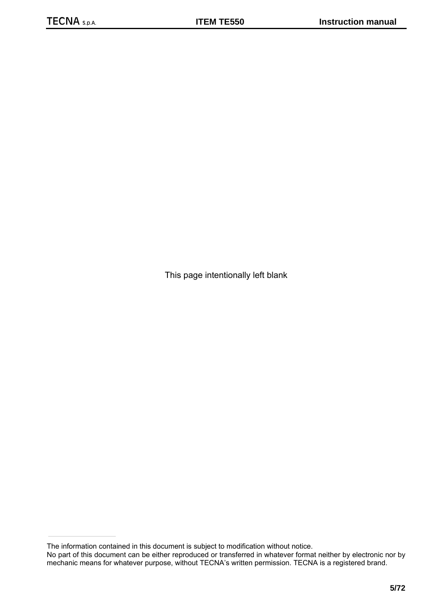This page intentionally left blank

The information contained in this document is subject to modification without notice.

No part of this document can be either reproduced or transferred in whatever format neither by electronic nor by mechanic means for whatever purpose, without TECNA's written permission. TECNA is a registered brand.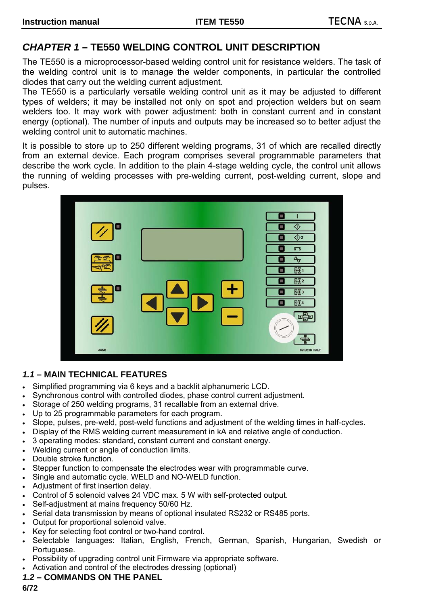#### *CHAPTER 1* **– TE550 WELDING CONTROL UNIT DESCRIPTION**

The TE550 is a microprocessor-based welding control unit for resistance welders. The task of the welding control unit is to manage the welder components, in particular the controlled diodes that carry out the welding current adjustment.

The TE550 is a particularly versatile welding control unit as it may be adjusted to different types of welders; it may be installed not only on spot and projection welders but on seam welders too. It may work with power adjustment: both in constant current and in constant energy (optional). The number of inputs and outputs may be increased so to better adjust the welding control unit to automatic machines.

It is possible to store up to 250 different welding programs, 31 of which are recalled directly from an external device. Each program comprises several programmable parameters that describe the work cycle. In addition to the plain 4-stage welding cycle, the control unit allows the running of welding processes with pre-welding current, post-welding current, slope and pulses.



#### *1.1* **– MAIN TECHNICAL FEATURES**

- Simplified programming via 6 keys and a backlit alphanumeric LCD.
- Synchronous control with controlled diodes, phase control current adjustment.
- Storage of 250 welding programs, 31 recallable from an external drive.
- Up to 25 programmable parameters for each program.
- Slope, pulses, pre-weld, post-weld functions and adjustment of the welding times in half-cycles.
- Display of the RMS welding current measurement in kA and relative angle of conduction.
- 3 operating modes: standard, constant current and constant energy.
- Welding current or angle of conduction limits.
- Double stroke function.
- Stepper function to compensate the electrodes wear with programmable curve.
- Single and automatic cycle. WELD and NO-WELD function.
- Adjustment of first insertion delay.
- Control of 5 solenoid valves 24 VDC max. 5 W with self-protected output.
- Self-adjustment at mains frequency 50/60 Hz.
- Serial data transmission by means of optional insulated RS232 or RS485 ports.
- Output for proportional solenoid valve.
- Key for selecting foot control or two-hand control.
- Selectable languages: Italian, English, French, German, Spanish, Hungarian, Swedish or Portuguese.
- Possibility of upgrading control unit Firmware via appropriate software.
- Activation and control of the electrodes dressing (optional)

#### *1.2* **– COMMANDS ON THE PANEL**

**6/72**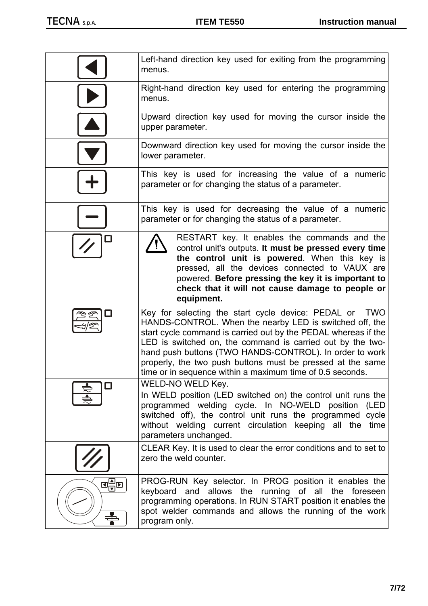|        | Left-hand direction key used for exiting from the programming<br>menus.                                                                                                                                                                                                                                                                                                                                                                 |
|--------|-----------------------------------------------------------------------------------------------------------------------------------------------------------------------------------------------------------------------------------------------------------------------------------------------------------------------------------------------------------------------------------------------------------------------------------------|
|        | Right-hand direction key used for entering the programming<br>menus.                                                                                                                                                                                                                                                                                                                                                                    |
|        | Upward direction key used for moving the cursor inside the<br>upper parameter.                                                                                                                                                                                                                                                                                                                                                          |
|        | Downward direction key used for moving the cursor inside the<br>lower parameter.                                                                                                                                                                                                                                                                                                                                                        |
|        | This key is used for increasing the value of a numeric<br>parameter or for changing the status of a parameter.                                                                                                                                                                                                                                                                                                                          |
|        | This key is used for decreasing the value of a numeric<br>parameter or for changing the status of a parameter.                                                                                                                                                                                                                                                                                                                          |
|        | RESTART key. It enables the commands and the<br>control unit's outputs. It must be pressed every time<br>the control unit is powered. When this key is<br>pressed, all the devices connected to VAUX are<br>powered. Before pressing the key it is important to<br>check that it will not cause damage to people or<br>equipment.                                                                                                       |
|        | Key for selecting the start cycle device: PEDAL or TWO<br>HANDS-CONTROL. When the nearby LED is switched off, the<br>start cycle command is carried out by the PEDAL whereas if the<br>LED is switched on, the command is carried out by the two-<br>hand push buttons (TWO HANDS-CONTROL). In order to work<br>properly, the two push buttons must be pressed at the same<br>time or in sequence within a maximum time of 0.5 seconds. |
| $\Box$ | WELD-NO WELD Key.<br>In WELD position (LED switched on) the control unit runs the<br>programmed welding cycle. In NO-WELD position (LED<br>switched off), the control unit runs the programmed cycle<br>without welding current circulation keeping all the time                                                                                                                                                                        |
|        | parameters unchanged.                                                                                                                                                                                                                                                                                                                                                                                                                   |
|        | CLEAR Key. It is used to clear the error conditions and to set to<br>zero the weld counter.                                                                                                                                                                                                                                                                                                                                             |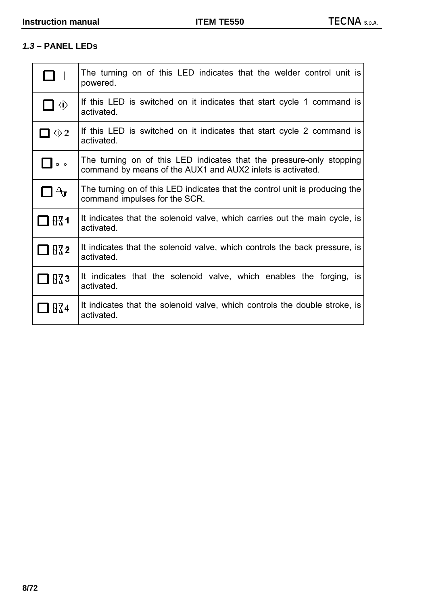#### *1.3* **– PANEL LEDs**

| $\Box$ 1              | The turning on of this LED indicates that the welder control unit is<br>powered.                                                   |
|-----------------------|------------------------------------------------------------------------------------------------------------------------------------|
| $\square \, \lozenge$ | If this LED is switched on it indicates that start cycle 1 command is<br>activated.                                                |
| $\square \otimes$ 2   | If this LED is switched on it indicates that start cycle 2 command is<br>activated.                                                |
| $\overline{\circ}$    | The turning on of this LED indicates that the pressure-only stopping<br>command by means of the AUX1 and AUX2 inlets is activated. |
| ⅂ᡧ                    | The turning on of this LED indicates that the control unit is producing the<br>command impulses for the SCR.                       |
| □ ਲਿ1                 | It indicates that the solenoid valve, which carries out the main cycle, is<br>activated.                                           |
| $\Box$ X2             | It indicates that the solenoid valve, which controls the back pressure, is<br>activated.                                           |
| □ ਲਿ 3                | It indicates that the solenoid valve, which enables the forging, is<br>activated.                                                  |
|                       | It indicates that the solenoid valve, which controls the double stroke, is<br>activated.                                           |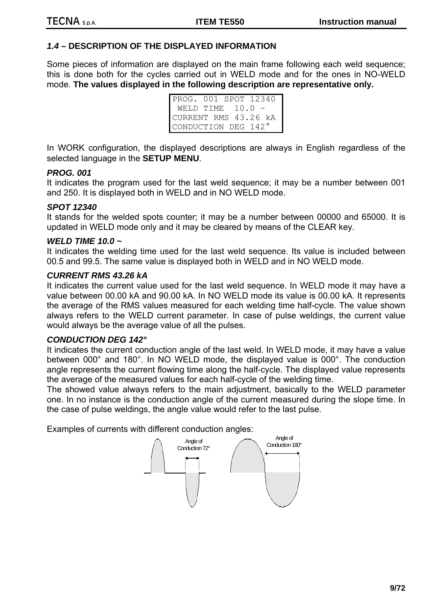#### *1.4* **– DESCRIPTION OF THE DISPLAYED INFORMATION**

Some pieces of information are displayed on the main frame following each weld sequence; this is done both for the cycles carried out in WELD mode and for the ones in NO-WELD mode. **The values displayed in the following description are representative only.** 

PROG. 001 SPOT 12340 WELD TIME  $10.0 \sim$ CURRENT RMS 43.26 kA CONDUCTION DEG 142°

In WORK configuration, the displayed descriptions are always in English regardless of the selected language in the **SETUP MENU**.

#### *PROG. 001*

It indicates the program used for the last weld sequence; it may be a number between 001 and 250. It is displayed both in WELD and in NO WELD mode.

#### *SPOT 12340*

It stands for the welded spots counter; it may be a number between 00000 and 65000. It is updated in WELD mode only and it may be cleared by means of the CLEAR key.

#### *WELD TIME 10.0 ~*

It indicates the welding time used for the last weld sequence. Its value is included between 00.5 and 99.5. The same value is displayed both in WELD and in NO WELD mode.

#### *CURRENT RMS 43.26 kA*

It indicates the current value used for the last weld sequence. In WELD mode it may have a value between 00.00 kA and 90.00 kA. In NO WELD mode its value is 00.00 kA. It represents the average of the RMS values measured for each welding time half-cycle. The value shown always refers to the WELD current parameter. In case of pulse weldings, the current value would always be the average value of all the pulses.

#### *CONDUCTION DEG 142°*

It indicates the current conduction angle of the last weld. In WELD mode, it may have a value between 000° and 180°. In NO WELD mode, the displayed value is 000°. The conduction angle represents the current flowing time along the half-cycle. The displayed value represents the average of the measured values for each half-cycle of the welding time.

The showed value always refers to the main adjustment, basically to the WELD parameter one. In no instance is the conduction angle of the current measured during the slope time. In the case of pulse weldings, the angle value would refer to the last pulse.

Examples of currents with different conduction angles:

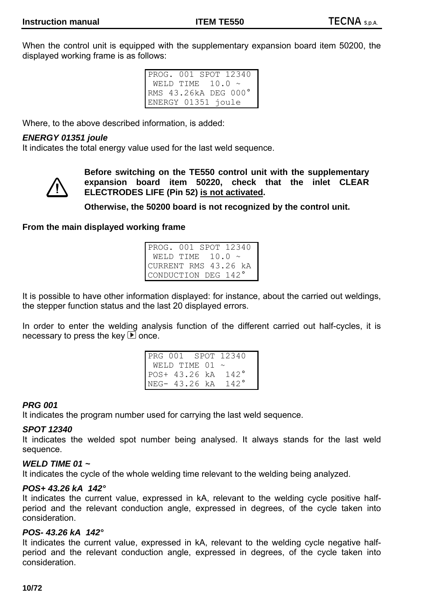When the control unit is equipped with the supplementary expansion board item 50200, the displayed working frame is as follows:

> PROG. 001 SPOT 12340 WELD TIME  $10.0 \sim$ RMS 43.26kA DEG 000° ENERGY 01351 joule

Where, to the above described information, is added:

#### *ENERGY 01351 joule*

It indicates the total energy value used for the last weld sequence.



**Before switching on the TE550 control unit with the supplementary expansion board item 50220, check that the inlet CLEAR ELECTRODES LIFE (Pin 52) is not activated.** 

**Otherwise, the 50200 board is not recognized by the control unit.**

**From the main displayed working frame** 

PROG. 001 SPOT 12340 WELD TIME  $10.0 \sim$ CURRENT RMS 43.26 kA CONDUCTION DEG 142°

It is possible to have other information displayed: for instance, about the carried out weldings, the stepper function status and the last 20 displayed errors.

In order to enter the welding analysis function of the different carried out half-cycles, it is necessary to press the key  $\mathbb D$  once.

|               |                     |  | PRG 001 SPOT 12340 |
|---------------|---------------------|--|--------------------|
|               | WEID TIME $01 \sim$ |  |                    |
| POS+ 43.26 kA |                     |  | 142°               |
| NEG- 43.26 kA |                     |  | $142^\circ$        |

#### *PRG 001*

It indicates the program number used for carrying the last weld sequence.

#### *SPOT 12340*

It indicates the welded spot number being analysed. It always stands for the last weld sequence.

#### *WELD TIME 01 ~*

It indicates the cycle of the whole welding time relevant to the welding being analyzed.

#### *POS+ 43.26 kA 142°*

It indicates the current value, expressed in kA, relevant to the welding cycle positive halfperiod and the relevant conduction angle, expressed in degrees, of the cycle taken into consideration.

#### *POS- 43.26 kA 142°*

It indicates the current value, expressed in kA, relevant to the welding cycle negative halfperiod and the relevant conduction angle, expressed in degrees, of the cycle taken into consideration.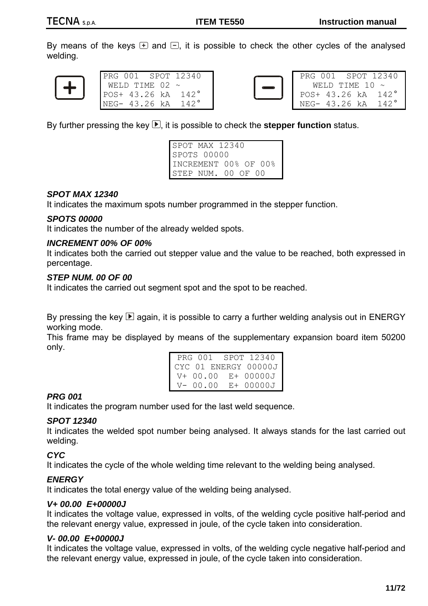By means of the keys  $\pm$  and  $\pm$ , it is possible to check the other cycles of the analysed welding.



PRG 001 SPOT 12340 WELD TIME  $02 \sim$ <br> $0.05 + 43.26$  kA  $142^\circ$ POS+ 43.26 kA 142°<br>NEG- 43.26 kA 142° NEG- 43.26 kA

| PRG 001 SPOT 12340 |                     |  |             |
|--------------------|---------------------|--|-------------|
|                    | WEID TIME 10 $\sim$ |  |             |
| POS+ 43.26 kA      |                     |  | $142^\circ$ |
| NEG- 43.26 kA      |                     |  | $142^\circ$ |

By further pressing the key  $\mathbb{D}$ , it is possible to check the **stepper function** status.

SPOT MAX 12340 SPOTS 00000 INCREMENT 00% OF 00% STEP NUM. 00 OF 00

#### *SPOT MAX 12340*

It indicates the maximum spots number programmed in the stepper function.

#### *SPOTS 00000*

It indicates the number of the already welded spots.

#### *INCREMENT 00% OF 00%*

It indicates both the carried out stepper value and the value to be reached, both expressed in percentage.

#### *STEP NUM. 00 OF 00*

It indicates the carried out segment spot and the spot to be reached.

By pressing the key  $\bigtriangledown$  again, it is possible to carry a further welding analysis out in ENERGY working mode.

This frame may be displayed by means of the supplementary expansion board item 50200 only.

|             |  | PRG 001 SPOT 12340   |
|-------------|--|----------------------|
|             |  | CYC 01 ENERGY 00000J |
|             |  | V+ 00.00 E+ 00000J   |
| $V - 00.00$ |  | E+ 00000J            |

#### *PRG 001*

It indicates the program number used for the last weld sequence.

#### *SPOT 12340*

It indicates the welded spot number being analysed. It always stands for the last carried out welding.

#### *CYC*

It indicates the cycle of the whole welding time relevant to the welding being analysed.

#### *ENERGY*

It indicates the total energy value of the welding being analysed.

#### *V+ 00.00 E+00000J*

It indicates the voltage value, expressed in volts, of the welding cycle positive half-period and the relevant energy value, expressed in joule, of the cycle taken into consideration.

#### *V- 00.00 E+00000J*

It indicates the voltage value, expressed in volts, of the welding cycle negative half-period and the relevant energy value, expressed in joule, of the cycle taken into consideration.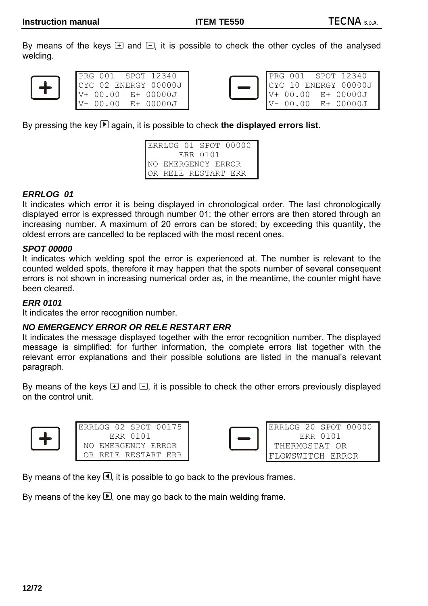By means of the keys  $\pm$  and  $\pm$ , it is possible to check the other cycles of the analysed welding.



PRG 001 SPOT 12340 CYC 02 ENERGY 00000J<br>V+ 00.00 E+ 00000J E+ 00000J V- 00.00 E+ 00000J

|  | PRG 001 SPOT 12340<br>CYC 10 ENERGY 00000J<br>V+ 00.00 E+ 00000J<br>V- 00.00 E+ 00000J |
|--|----------------------------------------------------------------------------------------|

By pressing the key  $\blacktriangleright$  again, it is possible to check the displayed errors list.



#### *ERRLOG 01*

It indicates which error it is being displayed in chronological order. The last chronologically displayed error is expressed through number 01: the other errors are then stored through an increasing number. A maximum of 20 errors can be stored; by exceeding this quantity, the oldest errors are cancelled to be replaced with the most recent ones.

#### *SPOT 00000*

It indicates which welding spot the error is experienced at. The number is relevant to the counted welded spots, therefore it may happen that the spots number of several consequent errors is not shown in increasing numerical order as, in the meantime, the counter might have been cleared.

#### *ERR 0101*

It indicates the error recognition number.

#### *NO EMERGENCY ERROR OR RELE RESTART ERR*

It indicates the message displayed together with the error recognition number. The displayed message is simplified: for further information, the complete errors list together with the relevant error explanations and their possible solutions are listed in the manual's relevant paragraph.

By means of the keys  $\pm$  and  $\pm$ , it is possible to check the other errors previously displayed on the control unit.





By means of the key  $\Box$ , it is possible to go back to the previous frames.

By means of the key  $\mathbb{D}$ , one may go back to the main welding frame.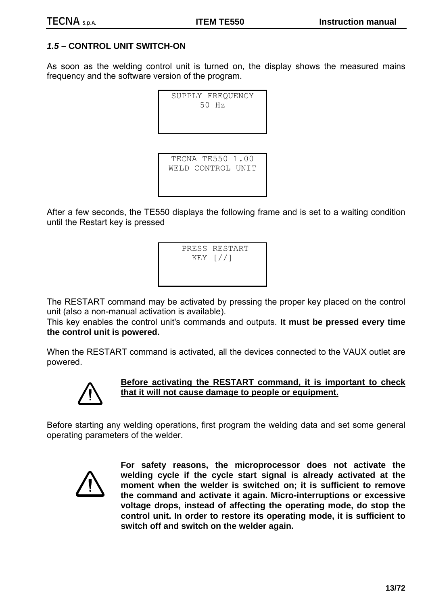#### *1.5* **– CONTROL UNIT SWITCH-ON**

As soon as the welding control unit is turned on, the display shows the measured mains frequency and the software version of the program.

| SUPPLY FREQUENCY<br>50 Hz             |
|---------------------------------------|
| TECNA TE550 1.00<br>WELD CONTROL UNIT |
|                                       |

After a few seconds, the TE550 displays the following frame and is set to a waiting condition until the Restart key is pressed



The RESTART command may be activated by pressing the proper key placed on the control unit (also a non-manual activation is available).

This key enables the control unit's commands and outputs. **It must be pressed every time the control unit is powered.** 

When the RESTART command is activated, all the devices connected to the VAUX outlet are powered.



#### **Before activating the RESTART command, it is important to check that it will not cause damage to people or equipment.**

Before starting any welding operations, first program the welding data and set some general operating parameters of the welder.



**For safety reasons, the microprocessor does not activate the welding cycle if the cycle start signal is already activated at the moment when the welder is switched on; it is sufficient to remove the command and activate it again. Micro-interruptions or excessive voltage drops, instead of affecting the operating mode, do stop the control unit. In order to restore its operating mode, it is sufficient to switch off and switch on the welder again.**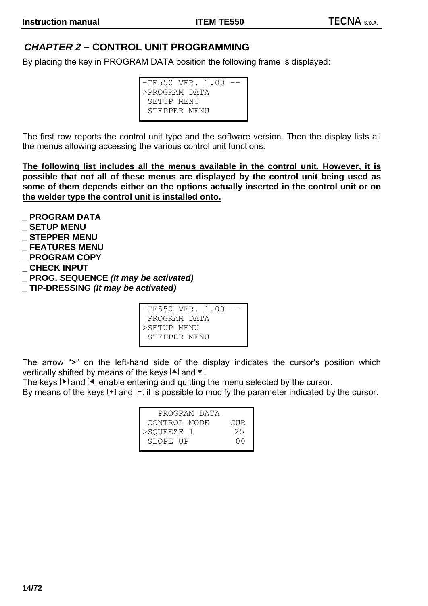#### *CHAPTER 2* **– CONTROL UNIT PROGRAMMING**

By placing the key in PROGRAM DATA position the following frame is displayed:

-TE550 VER. 1.00 -->PROGRAM DATA SETUP MENU STEPPER MENU

The first row reports the control unit type and the software version. Then the display lists all the menus allowing accessing the various control unit functions.

**The following list includes all the menus available in the control unit. However, it is possible that not all of these menus are displayed by the control unit being used as some of them depends either on the options actually inserted in the control unit or on the welder type the control unit is installed onto.**

- **\_ PROGRAM DATA**
- **\_ SETUP MENU**
- **\_ STEPPER MENU**
- **\_ FEATURES MENU**
- **\_ PROGRAM COPY**
- **\_ CHECK INPUT**
- **\_ PROG. SEQUENCE** *(It may be activated)*
- **\_ TIP-DRESSING** *(It may be activated)*

-TE550 VER. 1.00 -- PROGRAM DATA >SETUP MENU STEPPER MENU

The arrow ">" on the left-hand side of the display indicates the cursor's position which vertically shifted by means of the keys  $\triangleq$  and  $\overline{\blacktriangledown}$ .

The keys  $\Box$  and  $\Box$  enable entering and quitting the menu selected by the cursor.

By means of the keys  $\pm$  and  $\pm$  it is possible to modify the parameter indicated by the cursor.

| PROGRAM DATA |     |
|--------------|-----|
| CONTROL MODE | CUR |
| >SQUEEZE 1   | 25  |
| SLOPE UP     | ΩO  |
|              |     |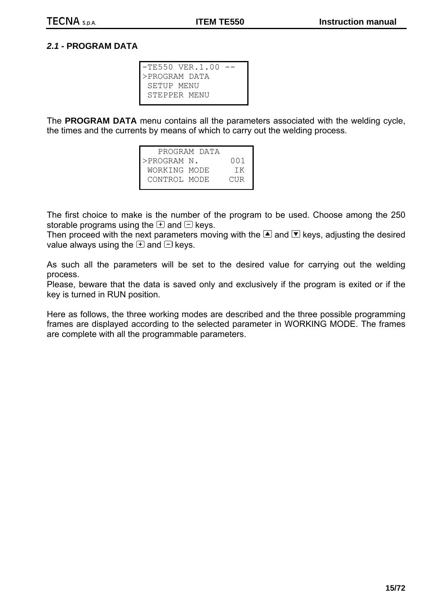#### *2.1 -* **PROGRAM DATA**

-TE550 VER.1.00 -- >PROGRAM DATA SETUP MENU STEPPER MENU

The **PROGRAM DATA** menu contains all the parameters associated with the welding cycle, the times and the currents by means of which to carry out the welding process.

|              | PROGRAM DATA |     |
|--------------|--------------|-----|
| >PROGRAM N.  |              | 001 |
| WORKING MODE |              | ΤK  |
| CONTROL MODE |              | CUR |
|              |              |     |

The first choice to make is the number of the program to be used. Choose among the 250 storable programs using the  $\pm$  and  $\pm$  keys.

Then proceed with the next parameters moving with the  $\blacksquare$  and  $\blacksquare$  keys, adjusting the desired value always using the  $\boxplus$  and  $\boxminus$  keys.

As such all the parameters will be set to the desired value for carrying out the welding process.

Please, beware that the data is saved only and exclusively if the program is exited or if the key is turned in RUN position.

Here as follows, the three working modes are described and the three possible programming frames are displayed according to the selected parameter in WORKING MODE. The frames are complete with all the programmable parameters.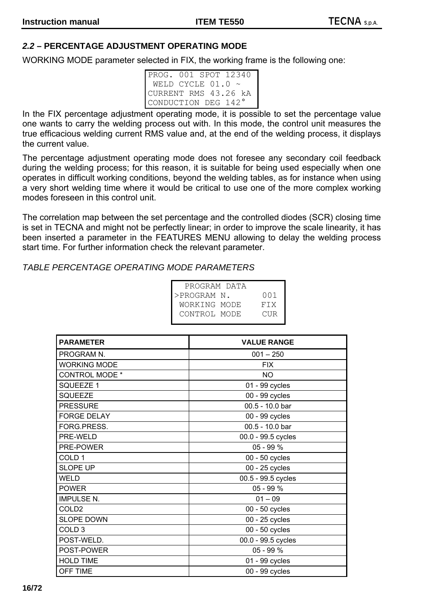#### *2.2* **– PERCENTAGE ADJUSTMENT OPERATING MODE**

WORKING MODE parameter selected in FIX, the working frame is the following one:

|                     |                        | PROG. 001 SPOT 12340 |
|---------------------|------------------------|----------------------|
|                     | WEID CYCLE $01.0 \sim$ |                      |
|                     |                        | CURRENT RMS 43.26 kA |
| CONDUCTION DEG 142° |                        |                      |

In the FIX percentage adjustment operating mode, it is possible to set the percentage value one wants to carry the welding process out with. In this mode, the control unit measures the true efficacious welding current RMS value and, at the end of the welding process, it displays the current value.

The percentage adjustment operating mode does not foresee any secondary coil feedback during the welding process; for this reason, it is suitable for being used especially when one operates in difficult working conditions, beyond the welding tables, as for instance when using a very short welding time where it would be critical to use one of the more complex working modes foreseen in this control unit.

The correlation map between the set percentage and the controlled diodes (SCR) closing time is set in TECNA and might not be perfectly linear; in order to improve the scale linearity, it has been inserted a parameter in the FEATURES MENU allowing to delay the welding process start time. For further information check the relevant parameter.

#### *TABLE PERCENTAGE OPERATING MODE PARAMETERS*

| PROGRAM DATA |            |
|--------------|------------|
| >PROGRAM N.  | 001        |
| WORKING MODE | FTX        |
| CONTROL MODE | <b>CUR</b> |
|              |            |

| <b>PARAMETER</b>      | <b>VALUE RANGE</b> |
|-----------------------|--------------------|
| PROGRAM N.            | $001 - 250$        |
| <b>WORKING MODE</b>   | <b>FIX</b>         |
| <b>CONTROL MODE *</b> | <b>NO</b>          |
| SQUEEZE 1             | 01 - 99 cycles     |
| <b>SQUEEZE</b>        | 00 - 99 cycles     |
| <b>PRESSURE</b>       | $00.5 - 10.0$ bar  |
| <b>FORGE DELAY</b>    | 00 - 99 cycles     |
| FORG.PRESS.           | 00.5 - 10.0 bar    |
| PRE-WELD              | 00.0 - 99.5 cycles |
| PRE-POWER             | 05 - 99 %          |
| COLD <sub>1</sub>     | 00 - 50 cycles     |
| <b>SLOPE UP</b>       | 00 - 25 cycles     |
| <b>WELD</b>           | 00.5 - 99.5 cycles |
| <b>POWER</b>          | 05 - 99 %          |
| <b>IMPULSE N.</b>     | $01 - 09$          |
| COLD <sub>2</sub>     | 00 - 50 cycles     |
| <b>SLOPE DOWN</b>     | 00 - 25 cycles     |
| COLD <sub>3</sub>     | 00 - 50 cycles     |
| POST-WELD.            | 00.0 - 99.5 cycles |
| POST-POWER            | 05 - 99 %          |
| <b>HOLD TIME</b>      | 01 - 99 cycles     |
| <b>OFF TIME</b>       | 00 - 99 cycles     |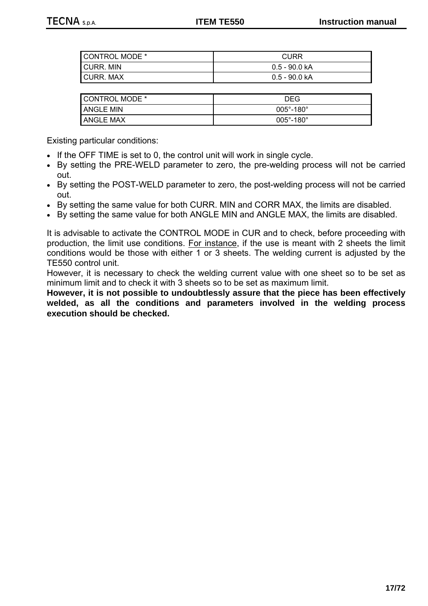| CONTROL MODE * | <b>CURR</b>     |
|----------------|-----------------|
| CURR. MIN      | 0.5 - 90.0 kA   |
| CURR. MAX      | $0.5 - 90.0$ kA |

| CONTROL MODE *   | DEG                           |
|------------------|-------------------------------|
| <b>ANGLE MIN</b> | $005^{\circ}$ -180 $^{\circ}$ |
| <b>ANGLE MAX</b> | $005^{\circ}$ -180 $^{\circ}$ |

Existing particular conditions:

- If the OFF TIME is set to 0, the control unit will work in single cycle.
- By setting the PRE-WELD parameter to zero, the pre-welding process will not be carried out.
- By setting the POST-WELD parameter to zero, the post-welding process will not be carried out.
- By setting the same value for both CURR. MIN and CORR MAX, the limits are disabled.
- By setting the same value for both ANGLE MIN and ANGLE MAX, the limits are disabled.

It is advisable to activate the CONTROL MODE in CUR and to check, before proceeding with production, the limit use conditions. For instance, if the use is meant with 2 sheets the limit conditions would be those with either 1 or 3 sheets. The welding current is adjusted by the TE550 control unit.

However, it is necessary to check the welding current value with one sheet so to be set as minimum limit and to check it with 3 sheets so to be set as maximum limit.

**However, it is not possible to undoubtlessly assure that the piece has been effectively welded, as all the conditions and parameters involved in the welding process execution should be checked.**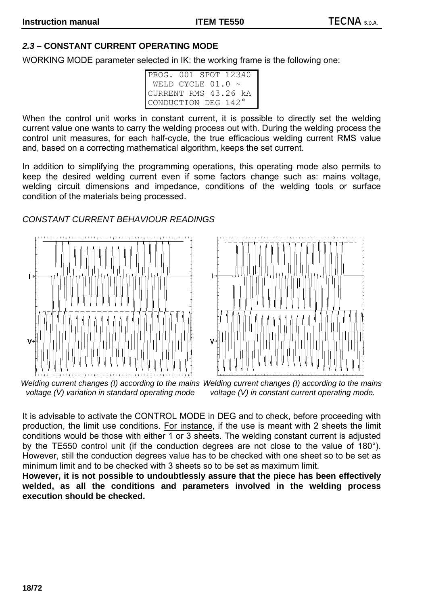#### *2.3* **– CONSTANT CURRENT OPERATING MODE**

WORKING MODE parameter selected in IK: the working frame is the following one:

```
PROG. 001 SPOT 12340 
WELD CYCLE 01.0 \simCURRENT RMS 43.26 kA 
CONDUCTION DEG 142°
```
When the control unit works in constant current, it is possible to directly set the welding current value one wants to carry the welding process out with. During the welding process the control unit measures, for each half-cycle, the true efficacious welding current RMS value and, based on a correcting mathematical algorithm, keeps the set current.

In addition to simplifying the programming operations, this operating mode also permits to keep the desired welding current even if some factors change such as: mains voltage, welding circuit dimensions and impedance, conditions of the welding tools or surface condition of the materials being processed.

#### *CONSTANT CURRENT BEHAVIOUR READINGS*





*Welding current changes (I) according to the mains Welding current changes (I) according to the mains voltage (V) variation in standard operating mode voltage (V) in constant current operating mode.* 

It is advisable to activate the CONTROL MODE in DEG and to check, before proceeding with production, the limit use conditions. For instance, if the use is meant with 2 sheets the limit conditions would be those with either 1 or 3 sheets. The welding constant current is adjusted by the TE550 control unit (if the conduction degrees are not close to the value of 180°). However, still the conduction degrees value has to be checked with one sheet so to be set as minimum limit and to be checked with 3 sheets so to be set as maximum limit.

**However, it is not possible to undoubtlessly assure that the piece has been effectively welded, as all the conditions and parameters involved in the welding process execution should be checked.**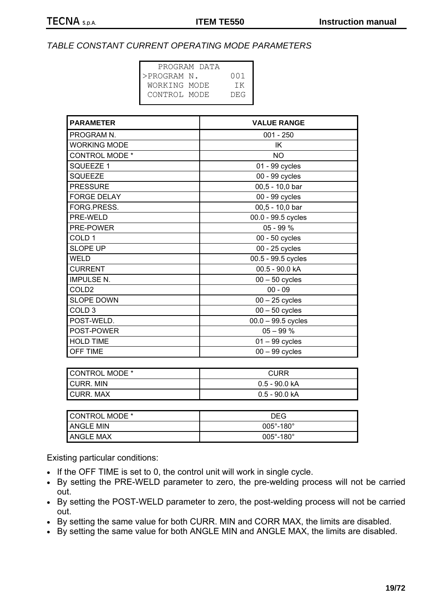#### *TABLE CONSTANT CURRENT OPERATING MODE PARAMETERS*

|              | PROGRAM DATA |     |
|--------------|--------------|-----|
| >PROGRAM N.  |              | 001 |
| WORKING MODE |              | ΤK  |
| CONTROL MODE |              | DEG |
|              |              |     |

| <b>PARAMETER</b>      | <b>VALUE RANGE</b>   |
|-----------------------|----------------------|
| PROGRAM N.            | $001 - 250$          |
| <b>WORKING MODE</b>   | IK                   |
| <b>CONTROL MODE *</b> | <b>NO</b>            |
| SQUEEZE 1             | 01 - 99 cycles       |
| <b>SQUEEZE</b>        | 00 - 99 cycles       |
| <b>PRESSURE</b>       | 00,5 - 10,0 bar      |
| <b>FORGE DELAY</b>    | 00 - 99 cycles       |
| FORG.PRESS.           | 00,5 - 10,0 bar      |
| PRE-WELD              | 00.0 - 99.5 cycles   |
| PRE-POWER             | 05 - 99 %            |
| COLD <sub>1</sub>     | 00 - 50 cycles       |
| <b>SLOPE UP</b>       | 00 - 25 cycles       |
| <b>WELD</b>           | 00.5 - 99.5 cycles   |
| <b>CURRENT</b>        | 00.5 - 90.0 kA       |
| <b>IMPULSE N.</b>     | $00 - 50$ cycles     |
| COLD <sub>2</sub>     | $00 - 09$            |
| <b>SLOPE DOWN</b>     | $00 - 25$ cycles     |
| COLD <sub>3</sub>     | $00 - 50$ cycles     |
| POST-WELD.            | $00.0 - 99.5$ cycles |
| POST-POWER            | $05 - 99 %$          |
| <b>HOLD TIME</b>      | $01 - 99$ cycles     |
| OFF TIME              | $00 - 99$ cycles     |

| CONTROL MODE *   | <b>CURR</b>     |
|------------------|-----------------|
| CURR. MIN        | $0.5 - 90.0$ kA |
| <b>CURR. MAX</b> | $0.5 - 90.0$ kA |

| CONTROL MODE *   | DEG                           |
|------------------|-------------------------------|
| <b>ANGLE MIN</b> | $005^{\circ}$ -180 $^{\circ}$ |
| <b>ANGLE MAX</b> | $005^{\circ}$ -180 $^{\circ}$ |

Existing particular conditions:

- If the OFF TIME is set to 0, the control unit will work in single cycle.
- By setting the PRE-WELD parameter to zero, the pre-welding process will not be carried out.
- By setting the POST-WELD parameter to zero, the post-welding process will not be carried out.
- By setting the same value for both CURR. MIN and CORR MAX, the limits are disabled.
- By setting the same value for both ANGLE MIN and ANGLE MAX, the limits are disabled.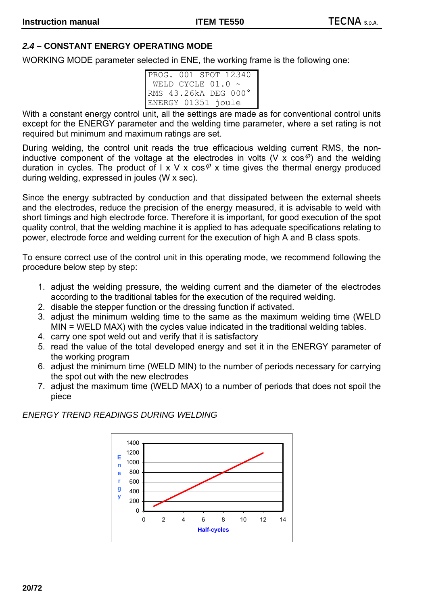#### *2.4* **– CONSTANT ENERGY OPERATING MODE**

WORKING MODE parameter selected in ENE, the working frame is the following one:

```
PROG. 001 SPOT 12340 
 WELD CYCLE 01.0 \simRMS 43.26kA DEG 000° 
ENERGY 01351 joule
```
With a constant energy control unit, all the settings are made as for conventional control units except for the ENERGY parameter and the welding time parameter, where a set rating is not required but minimum and maximum ratings are set.

During welding, the control unit reads the true efficacious welding current RMS, the noninductive component of the voltage at the electrodes in volts (V x cos $\varphi$ ) and the welding duration in cycles. The product of  $\vert x \vee x \cos \varphi x \vert$  time gives the thermal energy produced during welding, expressed in joules (W x sec).

Since the energy subtracted by conduction and that dissipated between the external sheets and the electrodes, reduce the precision of the energy measured, it is advisable to weld with short timings and high electrode force. Therefore it is important, for good execution of the spot quality control, that the welding machine it is applied to has adequate specifications relating to power, electrode force and welding current for the execution of high A and B class spots.

To ensure correct use of the control unit in this operating mode, we recommend following the procedure below step by step:

- 1. adjust the welding pressure, the welding current and the diameter of the electrodes according to the traditional tables for the execution of the required welding.
- 2. disable the stepper function or the dressing function if activated.
- 3. adjust the minimum welding time to the same as the maximum welding time (WELD MIN = WELD MAX) with the cycles value indicated in the traditional welding tables.
- 4. carry one spot weld out and verify that it is satisfactory
- 5. read the value of the total developed energy and set it in the ENERGY parameter of the working program
- 6. adjust the minimum time (WELD MIN) to the number of periods necessary for carrying the spot out with the new electrodes
- 7. adjust the maximum time (WELD MAX) to a number of periods that does not spoil the piece

*ENERGY TREND READINGS DURING WELDING* 

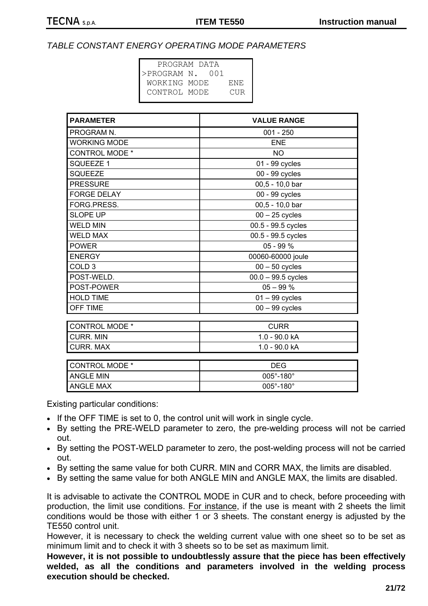*TABLE CONSTANT ENERGY OPERATING MODE PARAMETERS* 

| PROGRAM DATA    |  |      |
|-----------------|--|------|
| >PROGRAM N. 001 |  |      |
| WORKING MODE    |  | ENE. |
| CONTROL MODE    |  | CUR  |
|                 |  |      |

| <b>PARAMETER</b>      | <b>VALUE RANGE</b>   |  |
|-----------------------|----------------------|--|
| PROGRAM N.            | $001 - 250$          |  |
| <b>WORKING MODE</b>   | <b>ENE</b>           |  |
| <b>CONTROL MODE *</b> | <b>NO</b>            |  |
| SQUEEZE 1             | 01 - 99 cycles       |  |
| <b>SQUEEZE</b>        | 00 - 99 cycles       |  |
| <b>PRESSURE</b>       | 00,5 - 10,0 bar      |  |
| <b>FORGE DELAY</b>    | 00 - 99 cycles       |  |
| FORG.PRESS.           | 00,5 - 10,0 bar      |  |
| <b>SLOPE UP</b>       | $00 - 25$ cycles     |  |
| <b>WELD MIN</b>       | 00.5 - 99.5 cycles   |  |
| <b>WELD MAX</b>       | 00.5 - 99.5 cycles   |  |
| <b>POWER</b>          | 05 - 99 %            |  |
| <b>ENERGY</b>         | 00060-60000 joule    |  |
| COLD <sub>3</sub>     | $00 - 50$ cycles     |  |
| POST-WELD.            | $00.0 - 99.5$ cycles |  |
| POST-POWER            | $05 - 99%$           |  |
| <b>HOLD TIME</b>      | $01 - 99$ cycles     |  |
| OFF TIME              | $00 - 99$ cycles     |  |
|                       |                      |  |
| CONTROL MODE *        | <b>CURR</b>          |  |
| <b>CURR. MIN</b>      | 1.0 - 90.0 kA        |  |
| <b>CURR. MAX</b>      | 1.0 - 90.0 kA        |  |
|                       |                      |  |
| CONTROL MODE *        | <b>DEG</b>           |  |
| <b>ANGLE MIN</b>      | 005°-180°            |  |
| <b>ANGLE MAX</b>      | 005°-180°            |  |

Existing particular conditions:

- If the OFF TIME is set to 0, the control unit will work in single cycle.
- By setting the PRE-WELD parameter to zero, the pre-welding process will not be carried out.
- By setting the POST-WELD parameter to zero, the post-welding process will not be carried out.
- By setting the same value for both CURR. MIN and CORR MAX, the limits are disabled.
- By setting the same value for both ANGLE MIN and ANGLE MAX, the limits are disabled.

It is advisable to activate the CONTROL MODE in CUR and to check, before proceeding with production, the limit use conditions. For instance, if the use is meant with 2 sheets the limit conditions would be those with either 1 or 3 sheets. The constant energy is adjusted by the TE550 control unit.

However, it is necessary to check the welding current value with one sheet so to be set as minimum limit and to check it with 3 sheets so to be set as maximum limit.

**However, it is not possible to undoubtlessly assure that the piece has been effectively welded, as all the conditions and parameters involved in the welding process execution should be checked.**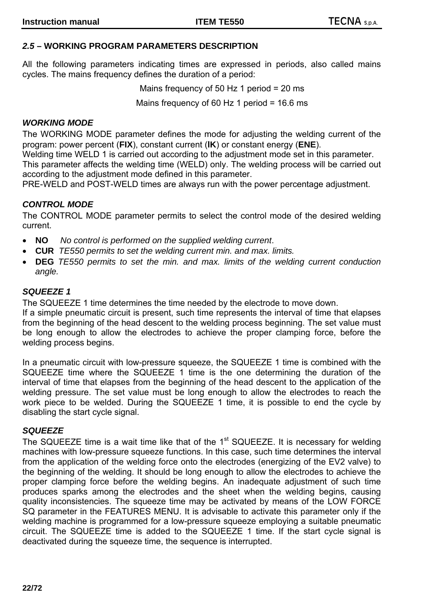#### *2.5* **– WORKING PROGRAM PARAMETERS DESCRIPTION**

All the following parameters indicating times are expressed in periods, also called mains cycles. The mains frequency defines the duration of a period:

Mains frequency of 50 Hz 1 period = 20 ms

Mains frequency of 60 Hz 1 period = 16.6 ms

#### *WORKING MODE*

The WORKING MODE parameter defines the mode for adjusting the welding current of the program: power percent (**FIX**), constant current (**lK**) or constant energy (**ENE**).

Welding time WELD 1 is carried out according to the adjustment mode set in this parameter. This parameter affects the welding time (WELD) only. The welding process will be carried out according to the adjustment mode defined in this parameter.

PRE-WELD and POST-WELD times are always run with the power percentage adjustment.

#### *CONTROL MODE*

The CONTROL MODE parameter permits to select the control mode of the desired welding current.

- **NO** *No control is performed on the supplied welding current*.
- **CUR** *TE550 permits to set the welding current min. and max. limits.*
- **DEG** *TE550 permits to set the min. and max. limits of the welding current conduction angle.*

#### *SQUEEZE 1*

The SQUEEZE 1 time determines the time needed by the electrode to move down.

If a simple pneumatic circuit is present, such time represents the interval of time that elapses from the beginning of the head descent to the welding process beginning. The set value must be long enough to allow the electrodes to achieve the proper clamping force, before the welding process begins.

In a pneumatic circuit with low-pressure squeeze, the SQUEEZE 1 time is combined with the SQUEEZE time where the SQUEEZE 1 time is the one determining the duration of the interval of time that elapses from the beginning of the head descent to the application of the welding pressure. The set value must be long enough to allow the electrodes to reach the work piece to be welded. During the SQUEEZE 1 time, it is possible to end the cycle by disabling the start cycle signal.

#### *SQUEEZE*

The SQUEEZE time is a wait time like that of the 1<sup>st</sup> SQUEEZE. It is necessary for welding machines with low-pressure squeeze functions. In this case, such time determines the interval from the application of the welding force onto the electrodes (energizing of the EV2 valve) to the beginning of the welding. It should be long enough to allow the electrodes to achieve the proper clamping force before the welding begins. An inadequate adjustment of such time produces sparks among the electrodes and the sheet when the welding begins, causing quality inconsistencies. The squeeze time may be activated by means of the LOW FORCE SQ parameter in the FEATURES MENU. It is advisable to activate this parameter only if the welding machine is programmed for a low-pressure squeeze employing a suitable pneumatic circuit. The SQUEEZE time is added to the SQUEEZE 1 time. If the start cycle signal is deactivated during the squeeze time, the sequence is interrupted.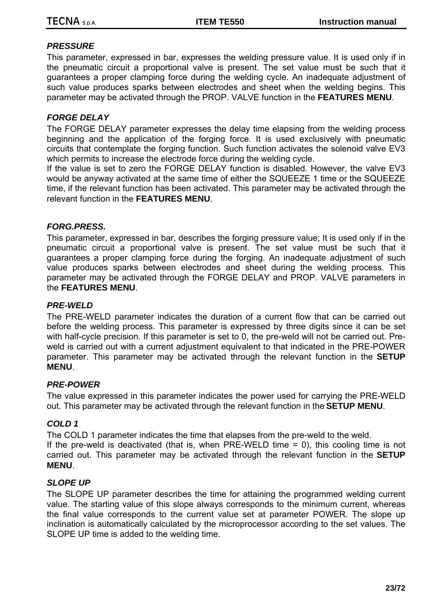#### *PRESSURE*

This parameter, expressed in bar, expresses the welding pressure value. It is used only if in the pneumatic circuit a proportional valve is present. The set value must be such that it guarantees a proper clamping force during the welding cycle. An inadequate adjustment of such value produces sparks between electrodes and sheet when the welding begins. This parameter may be activated through the PROP. VALVE function in the **FEATURES MENU**.

#### *FORGE DELAY*

The FORGE DELAY parameter expresses the delay time elapsing from the welding process beginning and the application of the forging force. It is used exclusively with pneumatic circuits that contemplate the forging function. Such function activates the solenoid valve EV3 which permits to increase the electrode force during the welding cycle.

If the value is set to zero the FORGE DELAY function is disabled. However, the valve EV3 would be anyway activated at the same time of either the SQUEEZE 1 time or the SQUEEZE time, if the relevant function has been activated. This parameter may be activated through the relevant function in the **FEATURES MENU**.

#### *FORG.PRESS.*

This parameter, expressed in bar, describes the forging pressure value; It is used only if in the pneumatic circuit a proportional valve is present. The set value must be such that it guarantees a proper clamping force during the forging. An inadequate adjustment of such value produces sparks between electrodes and sheet during the welding process. This parameter may be activated through the FORGE DELAY and PROP. VALVE parameters in the **FEATURES MENU**.

#### *PRE-WELD*

The PRE-WELD parameter indicates the duration of a current flow that can be carried out before the welding process. This parameter is expressed by three digits since it can be set with half-cycle precision. If this parameter is set to 0, the pre-weld will not be carried out. Preweld is carried out with a current adjustment equivalent to that indicated in the PRE-POWER parameter. This parameter may be activated through the relevant function in the **SETUP MENU**.

#### *PRE-POWER*

The value expressed in this parameter indicates the power used for carrying the PRE-WELD out. This parameter may be activated through the relevant function in the **SETUP MENU**.

#### *COLD 1*

The COLD 1 parameter indicates the time that elapses from the pre-weld to the weld.

If the pre-weld is deactivated (that is, when PRE-WELD time = 0), this cooling time is not carried out. This parameter may be activated through the relevant function in the **SETUP MENU**.

#### *SLOPE UP*

The SLOPE UP parameter describes the time for attaining the programmed welding current value. The starting value of this slope always corresponds to the minimum current, whereas the final value corresponds to the current value set at parameter POWER. The slope up inclination is automatically calculated by the microprocessor according to the set values. The SLOPE UP time is added to the welding time.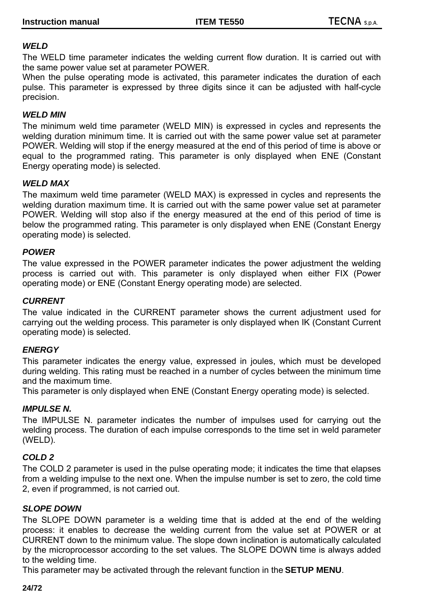#### *WELD*

The WELD time parameter indicates the welding current flow duration. It is carried out with the same power value set at parameter POWER.

When the pulse operating mode is activated, this parameter indicates the duration of each pulse. This parameter is expressed by three digits since it can be adjusted with half-cycle precision.

#### *WELD MIN*

The minimum weld time parameter (WELD MIN) is expressed in cycles and represents the welding duration minimum time. It is carried out with the same power value set at parameter POWER. Welding will stop if the energy measured at the end of this period of time is above or equal to the programmed rating. This parameter is only displayed when ENE (Constant Energy operating mode) is selected.

#### *WELD MAX*

The maximum weld time parameter (WELD MAX) is expressed in cycles and represents the welding duration maximum time. It is carried out with the same power value set at parameter POWER. Welding will stop also if the energy measured at the end of this period of time is below the programmed rating. This parameter is only displayed when ENE (Constant Energy operating mode) is selected.

#### *POWER*

The value expressed in the POWER parameter indicates the power adjustment the welding process is carried out with. This parameter is only displayed when either FIX (Power operating mode) or ENE (Constant Energy operating mode) are selected.

#### *CURRENT*

The value indicated in the CURRENT parameter shows the current adjustment used for carrying out the welding process. This parameter is only displayed when IK (Constant Current operating mode) is selected.

#### *ENERGY*

This parameter indicates the energy value, expressed in joules, which must be developed during welding. This rating must be reached in a number of cycles between the minimum time and the maximum time.

This parameter is only displayed when ENE (Constant Energy operating mode) is selected.

#### *IMPULSE N.*

The IMPULSE N. parameter indicates the number of impulses used for carrying out the welding process. The duration of each impulse corresponds to the time set in weld parameter (WELD).

#### *COLD 2*

The COLD 2 parameter is used in the pulse operating mode; it indicates the time that elapses from a welding impulse to the next one. When the impulse number is set to zero, the cold time 2, even if programmed, is not carried out.

#### *SLOPE DOWN*

The SLOPE DOWN parameter is a welding time that is added at the end of the welding process: it enables to decrease the welding current from the value set at POWER or at CURRENT down to the minimum value. The slope down inclination is automatically calculated by the microprocessor according to the set values. The SLOPE DOWN time is always added to the welding time.

This parameter may be activated through the relevant function in the **SETUP MENU**.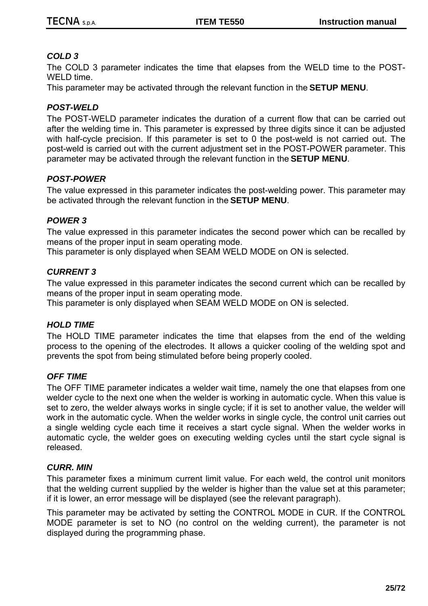#### *COLD 3*

The COLD 3 parameter indicates the time that elapses from the WELD time to the POST-WELD time.

This parameter may be activated through the relevant function in the **SETUP MENU**.

#### *POST-WELD*

The POST-WELD parameter indicates the duration of a current flow that can be carried out after the welding time in. This parameter is expressed by three digits since it can be adjusted with half-cycle precision. If this parameter is set to 0 the post-weld is not carried out. The post-weld is carried out with the current adjustment set in the POST-POWER parameter. This parameter may be activated through the relevant function in the **SETUP MENU**.

#### *POST-POWER*

The value expressed in this parameter indicates the post-welding power. This parameter may be activated through the relevant function in the **SETUP MENU**.

#### *POWER 3*

The value expressed in this parameter indicates the second power which can be recalled by means of the proper input in seam operating mode.

This parameter is only displayed when SEAM WELD MODE on ON is selected.

#### *CURRENT 3*

The value expressed in this parameter indicates the second current which can be recalled by means of the proper input in seam operating mode.

This parameter is only displayed when SEAM WELD MODE on ON is selected.

#### *HOLD TIME*

The HOLD TIME parameter indicates the time that elapses from the end of the welding process to the opening of the electrodes. It allows a quicker cooling of the welding spot and prevents the spot from being stimulated before being properly cooled.

#### *OFF TIME*

The OFF TIME parameter indicates a welder wait time, namely the one that elapses from one welder cycle to the next one when the welder is working in automatic cycle. When this value is set to zero, the welder always works in single cycle; if it is set to another value, the welder will work in the automatic cycle. When the welder works in single cycle, the control unit carries out a single welding cycle each time it receives a start cycle signal. When the welder works in automatic cycle, the welder goes on executing welding cycles until the start cycle signal is released.

#### *CURR. MIN*

This parameter fixes a minimum current limit value. For each weld, the control unit monitors that the welding current supplied by the welder is higher than the value set at this parameter; if it is lower, an error message will be displayed (see the relevant paragraph).

This parameter may be activated by setting the CONTROL MODE in CUR. If the CONTROL MODE parameter is set to NO (no control on the welding current), the parameter is not displayed during the programming phase.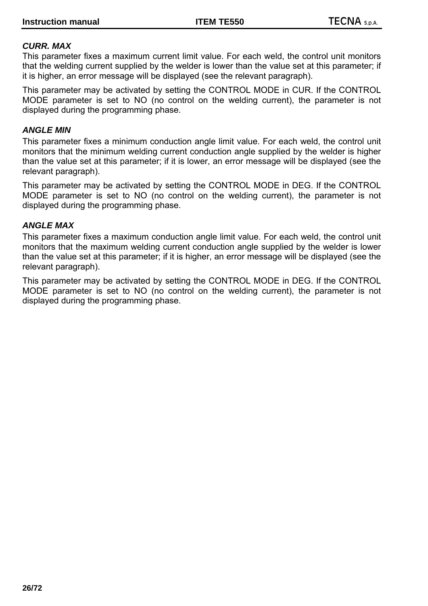#### *CURR. MAX*

This parameter fixes a maximum current limit value. For each weld, the control unit monitors that the welding current supplied by the welder is lower than the value set at this parameter; if it is higher, an error message will be displayed (see the relevant paragraph).

This parameter may be activated by setting the CONTROL MODE in CUR. If the CONTROL MODE parameter is set to NO (no control on the welding current), the parameter is not displayed during the programming phase.

#### *ANGLE MIN*

This parameter fixes a minimum conduction angle limit value. For each weld, the control unit monitors that the minimum welding current conduction angle supplied by the welder is higher than the value set at this parameter; if it is lower, an error message will be displayed (see the relevant paragraph).

This parameter may be activated by setting the CONTROL MODE in DEG. If the CONTROL MODE parameter is set to NO (no control on the welding current), the parameter is not displayed during the programming phase.

#### *ANGLE MAX*

This parameter fixes a maximum conduction angle limit value. For each weld, the control unit monitors that the maximum welding current conduction angle supplied by the welder is lower than the value set at this parameter; if it is higher, an error message will be displayed (see the relevant paragraph).

This parameter may be activated by setting the CONTROL MODE in DEG. If the CONTROL MODE parameter is set to NO (no control on the welding current), the parameter is not displayed during the programming phase.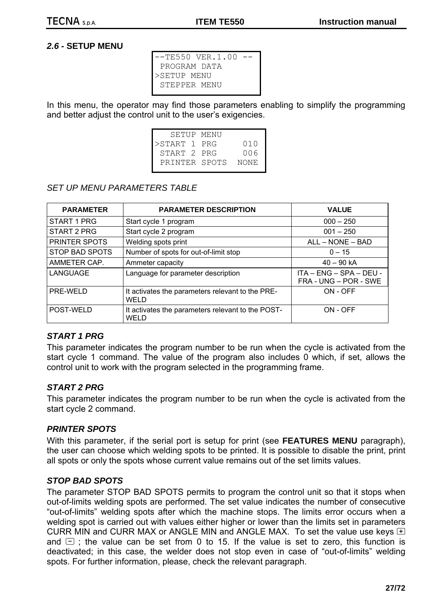#### *2.6 -* **SETUP MENU**

| $--TE550 VER.1.00 --$ |  |
|-----------------------|--|
| PROGRAM DATA          |  |
| >SETUP MENU           |  |
| STEPPER MENU          |  |
|                       |  |

In this menu, the operator may find those parameters enabling to simplify the programming and better adjust the control unit to the user's exigencies.

| SETUP MENU    |  |      |
|---------------|--|------|
| >START 1 PRG  |  | 010  |
| START 2 PRG   |  | 006  |
| PRINTER SPOTS |  | NONE |
|               |  |      |

*SET UP MENU PARAMETERS TABLE* 

| <b>PARAMETER</b>      | <b>PARAMETER DESCRIPTION</b>                              | <b>VALUE</b>                                     |
|-----------------------|-----------------------------------------------------------|--------------------------------------------------|
| START 1 PRG           | Start cycle 1 program                                     | $000 - 250$                                      |
| START 2 PRG           | Start cycle 2 program                                     | $001 - 250$                                      |
| PRINTER SPOTS         | Welding spots print                                       | ALL - NONE - BAD                                 |
| <b>STOP BAD SPOTS</b> | Number of spots for out-of-limit stop                     | $0 - 15$                                         |
| AMMETER CAP.          | Ammeter capacity                                          | $40 - 90 kA$                                     |
| <b>LANGUAGE</b>       | Language for parameter description                        | ITA – ENG – SPA – DEU -<br>FRA - UNG - POR - SWE |
| PRE-WELD              | It activates the parameters relevant to the PRE-<br>WELD  | ON - OFF                                         |
| POST-WELD             | It activates the parameters relevant to the POST-<br>WELD | ON - OFF                                         |

#### *START 1 PRG*

This parameter indicates the program number to be run when the cycle is activated from the start cycle 1 command. The value of the program also includes 0 which, if set, allows the control unit to work with the program selected in the programming frame.

#### *START 2 PRG*

This parameter indicates the program number to be run when the cycle is activated from the start cycle 2 command.

#### *PRINTER SPOTS*

With this parameter, if the serial port is setup for print (see **FEATURES MENU** paragraph), the user can choose which welding spots to be printed. It is possible to disable the print, print all spots or only the spots whose current value remains out of the set limits values.

#### *STOP BAD SPOTS*

The parameter STOP BAD SPOTS permits to program the control unit so that it stops when out-of-limits welding spots are performed. The set value indicates the number of consecutive "out-of-limits" welding spots after which the machine stops. The limits error occurs when a welding spot is carried out with values either higher or lower than the limits set in parameters CURR MIN and CURR MAX or ANGLE MIN and ANGLE MAX. To set the value use keys  $\boxplus$ and  $\Box$ ; the value can be set from 0 to 15. If the value is set to zero, this function is deactivated; in this case, the welder does not stop even in case of "out-of-limits" welding spots. For further information, please, check the relevant paragraph.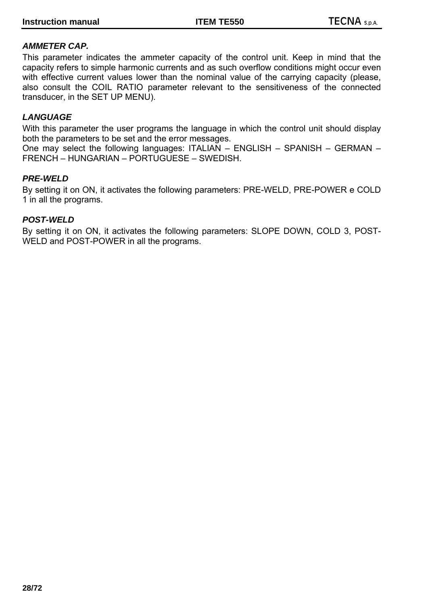#### *AMMETER CAP.*

This parameter indicates the ammeter capacity of the control unit. Keep in mind that the capacity refers to simple harmonic currents and as such overflow conditions might occur even with effective current values lower than the nominal value of the carrying capacity (please, also consult the COIL RATIO parameter relevant to the sensitiveness of the connected transducer, in the SET UP MENU).

#### *LANGUAGE*

With this parameter the user programs the language in which the control unit should display both the parameters to be set and the error messages.

One may select the following languages: ITALIAN – ENGLISH – SPANISH – GERMAN – FRENCH – HUNGARIAN – PORTUGUESE – SWEDISH.

#### *PRE-WELD*

By setting it on ON, it activates the following parameters: PRE-WELD, PRE-POWER e COLD 1 in all the programs.

#### *POST-WELD*

By setting it on ON, it activates the following parameters: SLOPE DOWN, COLD 3, POST-WELD and POST-POWER in all the programs.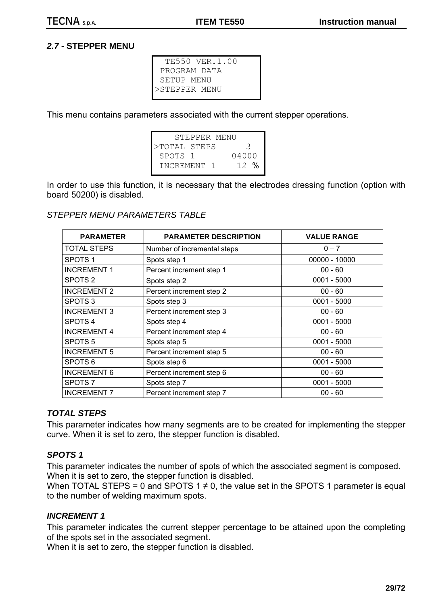#### *2.7 -* **STEPPER MENU**

 TE550 VER.1.00 PROGRAM DATA SETUP MENU >STEPPER MENU

This menu contains parameters associated with the current stepper operations.

| STEPPER MENU       |  |  |       |      |
|--------------------|--|--|-------|------|
| >TOTAL STEPS       |  |  |       |      |
| SPOTS <sub>1</sub> |  |  | 04000 |      |
| INCREMENT 1        |  |  |       | 12 % |
|                    |  |  |       |      |

In order to use this function, it is necessary that the electrodes dressing function (option with board 50200) is disabled.

*STEPPER MENU PARAMETERS TABLE* 

| <b>PARAMETER</b>   | <b>PARAMETER DESCRIPTION</b> | <b>VALUE RANGE</b> |
|--------------------|------------------------------|--------------------|
| <b>TOTAL STEPS</b> | Number of incremental steps  | $0 - 7$            |
| SPOTS <sub>1</sub> | Spots step 1                 | 00000 - 10000      |
| <b>INCREMENT 1</b> | Percent increment step 1     | $00 - 60$          |
| SPOTS <sub>2</sub> | Spots step 2                 | $0001 - 5000$      |
| <b>INCREMENT 2</b> | Percent increment step 2     | $00 - 60$          |
| SPOTS <sub>3</sub> | Spots step 3                 | $0001 - 5000$      |
| <b>INCREMENT 3</b> | Percent increment step 3     | $00 - 60$          |
| SPOTS <sub>4</sub> | Spots step 4                 | $0001 - 5000$      |
| <b>INCREMENT 4</b> | Percent increment step 4     | $00 - 60$          |
| SPOTS <sub>5</sub> | Spots step 5                 | $0001 - 5000$      |
| <b>INCREMENT 5</b> | Percent increment step 5     | $00 - 60$          |
| SPOTS <sub>6</sub> | Spots step 6                 | $0001 - 5000$      |
| <b>INCREMENT 6</b> | Percent increment step 6     | $00 - 60$          |
| SPOTS <sub>7</sub> | Spots step 7                 | $0001 - 5000$      |
| <b>INCREMENT 7</b> | Percent increment step 7     | $00 - 60$          |

#### *TOTAL STEPS*

This parameter indicates how many segments are to be created for implementing the stepper curve. When it is set to zero, the stepper function is disabled.

#### *SPOTS 1*

This parameter indicates the number of spots of which the associated segment is composed. When it is set to zero, the stepper function is disabled.

When TOTAL STEPS = 0 and SPOTS  $1 \neq 0$ , the value set in the SPOTS 1 parameter is equal to the number of welding maximum spots.

#### *INCREMENT 1*

This parameter indicates the current stepper percentage to be attained upon the completing of the spots set in the associated segment.

When it is set to zero, the stepper function is disabled.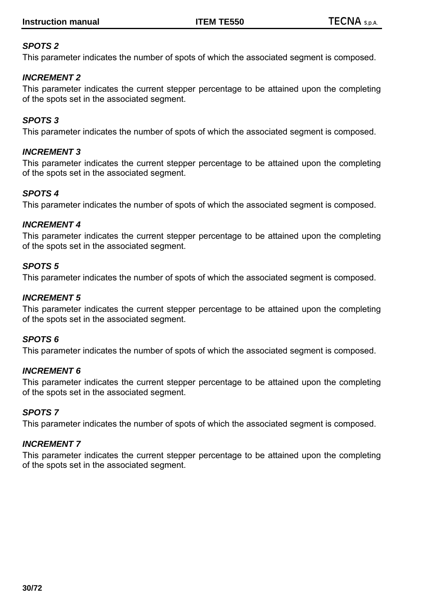#### *SPOTS 2*

This parameter indicates the number of spots of which the associated segment is composed.

#### *INCREMENT 2*

This parameter indicates the current stepper percentage to be attained upon the completing of the spots set in the associated segment.

#### *SPOTS 3*

This parameter indicates the number of spots of which the associated segment is composed.

#### *INCREMENT 3*

This parameter indicates the current stepper percentage to be attained upon the completing of the spots set in the associated segment.

#### *SPOTS 4*

This parameter indicates the number of spots of which the associated segment is composed.

#### *INCREMENT 4*

This parameter indicates the current stepper percentage to be attained upon the completing of the spots set in the associated segment.

#### *SPOTS 5*

This parameter indicates the number of spots of which the associated segment is composed.

#### *INCREMENT 5*

This parameter indicates the current stepper percentage to be attained upon the completing of the spots set in the associated segment.

#### *SPOTS 6*

This parameter indicates the number of spots of which the associated segment is composed.

#### *INCREMENT 6*

This parameter indicates the current stepper percentage to be attained upon the completing of the spots set in the associated segment.

#### *SPOTS 7*

This parameter indicates the number of spots of which the associated segment is composed.

#### *INCREMENT 7*

This parameter indicates the current stepper percentage to be attained upon the completing of the spots set in the associated segment.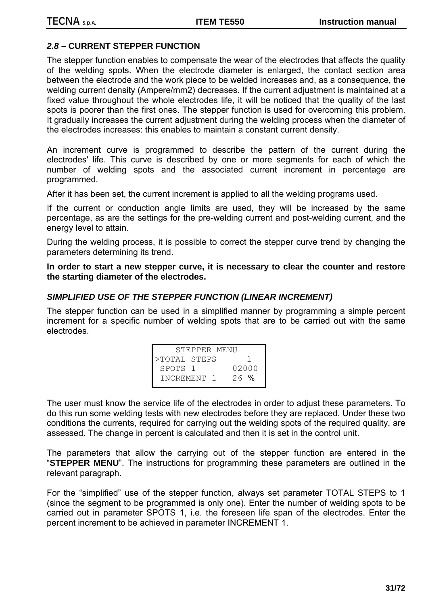#### *2.8 –* **CURRENT STEPPER FUNCTION**

The stepper function enables to compensate the wear of the electrodes that affects the quality of the welding spots. When the electrode diameter is enlarged, the contact section area between the electrode and the work piece to be welded increases and, as a consequence, the welding current density (Ampere/mm2) decreases. If the current adjustment is maintained at a fixed value throughout the whole electrodes life, it will be noticed that the quality of the last spots is poorer than the first ones. The stepper function is used for overcoming this problem. It gradually increases the current adjustment during the welding process when the diameter of the electrodes increases: this enables to maintain a constant current density.

An increment curve is programmed to describe the pattern of the current during the electrodes' life. This curve is described by one or more segments for each of which the number of welding spots and the associated current increment in percentage are programmed.

After it has been set, the current increment is applied to all the welding programs used.

If the current or conduction angle limits are used, they will be increased by the same percentage, as are the settings for the pre-welding current and post-welding current, and the energy level to attain.

During the welding process, it is possible to correct the stepper curve trend by changing the parameters determining its trend.

**In order to start a new stepper curve, it is necessary to clear the counter and restore the starting diameter of the electrodes.** 

#### *SIMPLIFIED USE OF THE STEPPER FUNCTION (LINEAR INCREMENT)*

The stepper function can be used in a simplified manner by programming a simple percent increment for a specific number of welding spots that are to be carried out with the same electrodes.

| STEPPER MENU |  |       |  |
|--------------|--|-------|--|
| >TOTAL STEPS |  |       |  |
| SPOTS 1      |  | 02000 |  |
| INCREMENT 1  |  | 26 %  |  |
|              |  |       |  |

The user must know the service life of the electrodes in order to adjust these parameters. To do this run some welding tests with new electrodes before they are replaced. Under these two conditions the currents, required for carrying out the welding spots of the required quality, are assessed. The change in percent is calculated and then it is set in the control unit.

The parameters that allow the carrying out of the stepper function are entered in the "**STEPPER MENU**". The instructions for programming these parameters are outlined in the relevant paragraph.

For the "simplified" use of the stepper function, always set parameter TOTAL STEPS to 1 (since the segment to be programmed is only one). Enter the number of welding spots to be carried out in parameter SPOTS 1, i.e. the foreseen life span of the electrodes. Enter the percent increment to be achieved in parameter INCREMENT 1.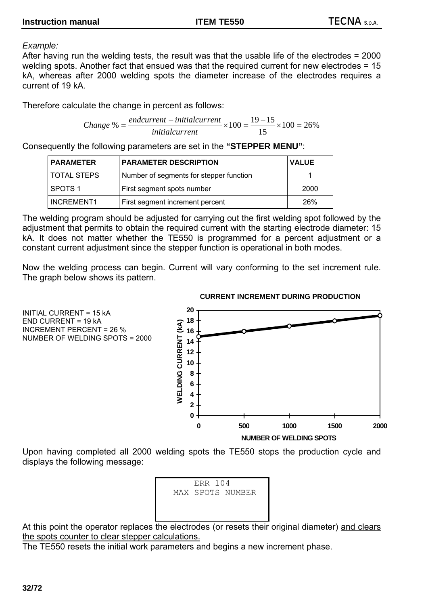#### *Example:*

After having run the welding tests, the result was that the usable life of the electrodes = 2000 welding spots. Another fact that ensued was that the required current for new electrodes = 15 kA, whereas after 2000 welding spots the diameter increase of the electrodes requires a current of 19 kA.

Therefore calculate the change in percent as follows:

Change % = 
$$
\frac{endcurrent - initialcurrent}{initialcurrent} \times 100 = \frac{19 - 15}{15} \times 100 = 26\%
$$

Consequently the following parameters are set in the **"STEPPER MENU"**:

| <b>PARAMETER</b>   | <b>PARAMETER DESCRIPTION</b>            | <b>VALUE</b> |
|--------------------|-----------------------------------------|--------------|
| <b>TOTAL STEPS</b> | Number of segments for stepper function |              |
| l SPOTS 1          | First segment spots number              | 2000         |
| <b>INCREMENT1</b>  | First segment increment percent         | 26%          |

The welding program should be adjusted for carrying out the first welding spot followed by the adjustment that permits to obtain the required current with the starting electrode diameter: 15 kA. It does not matter whether the TE550 is programmed for a percent adjustment or a constant current adjustment since the stepper function is operational in both modes.

Now the welding process can begin. Current will vary conforming to the set increment rule. The graph below shows its pattern.

**20** INITIAL CURRENT = 15 kA **18** END CURRENT = 19 kA **NELDING CURRENT (KA) WELDING CURRENT (kA)** INCREMENT PERCENT = 26 % **16** NUMBER OF WELDING SPOTS = 2000 **14 12 10 8 6 4 2 0 0 500 1000 1500 2000 NUMBER OF WELDING SPOTS**

#### **CURRENT INCREMENT DURING PRODUCTION**

Upon having completed all 2000 welding spots the TE550 stops the production cycle and displays the following message:



At this point the operator replaces the electrodes (or resets their original diameter) and clears the spots counter to clear stepper calculations.

The TE550 resets the initial work parameters and begins a new increment phase.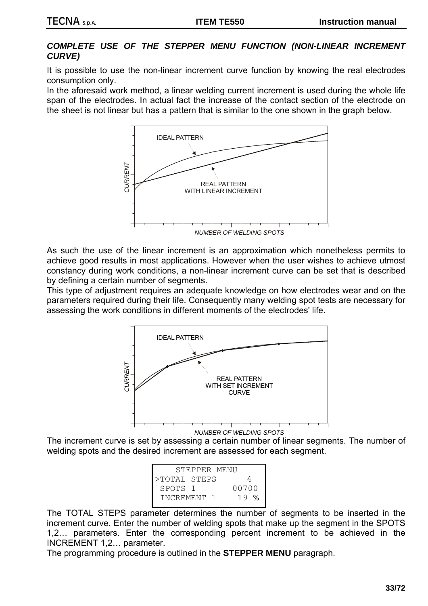#### *COMPLETE USE OF THE STEPPER MENU FUNCTION (NON-LINEAR INCREMENT CURVE)*

It is possible to use the non-linear increment curve function by knowing the real electrodes consumption only.

In the aforesaid work method, a linear welding current increment is used during the whole life span of the electrodes. In actual fact the increase of the contact section of the electrode on the sheet is not linear but has a pattern that is similar to the one shown in the graph below.



As such the use of the linear increment is an approximation which nonetheless permits to achieve good results in most applications. However when the user wishes to achieve utmost constancy during work conditions, a non-linear increment curve can be set that is described by defining a certain number of segments.

This type of adjustment requires an adequate knowledge on how electrodes wear and on the parameters required during their life. Consequently many welding spot tests are necessary for assessing the work conditions in different moments of the electrodes' life.



The increment curve is set by assessing a certain number of linear segments. The number of welding spots and the desired increment are assessed for each segment.

| STEPPER MENU        |
|---------------------|
| >TOTAL STEPS        |
| 00700               |
| 19 %<br>INCREMENT 1 |
|                     |

The TOTAL STEPS parameter determines the number of segments to be inserted in the increment curve. Enter the number of welding spots that make up the segment in the SPOTS 1,2… parameters. Enter the corresponding percent increment to be achieved in the INCREMENT 1,2… parameter.

The programming procedure is outlined in the **STEPPER MENU** paragraph.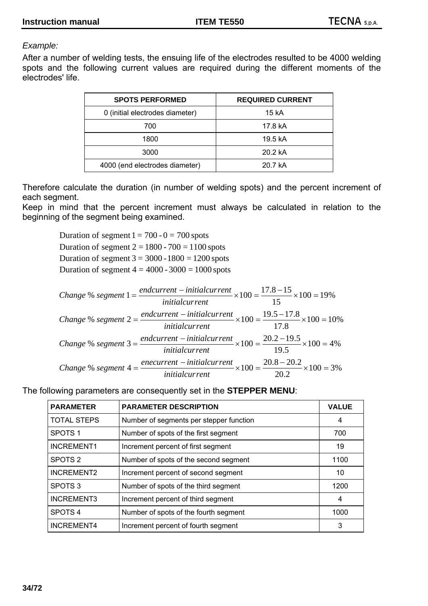#### *Example:*

After a number of welding tests, the ensuing life of the electrodes resulted to be 4000 welding spots and the following current values are required during the different moments of the electrodes' life.

| <b>SPOTS PERFORMED</b>          | <b>REQUIRED CURRENT</b> |
|---------------------------------|-------------------------|
| 0 (initial electrodes diameter) | 15 kA                   |
| 700                             | 17.8 kA                 |
| 1800                            | 19.5 kA                 |
| 3000                            | 20.2 kA                 |
| 4000 (end electrodes diameter)  | 20.7 kA                 |

Therefore calculate the duration (in number of welding spots) and the percent increment of each segment.

Keep in mind that the percent increment must always be calculated in relation to the beginning of the segment being examined.

> Duration of segment  $1 = 700 - 0 = 700$  spots Duration of segment  $2 = 1800 - 700 = 1100$  spots Duration of segment  $3 = 3000 - 1800 = 1200$  spots Duration of segment  $4 = 4000 - 3000 = 1000$  spots

Change % segment 1 = 
$$
\frac{endcurrent - initialcurrent}{initialcurrent} \times 100 = \frac{17.8 - 15}{15} \times 100 = 19\%
$$
  
Change % segment 2 = 
$$
\frac{endcurrent - initialcurrent}{initialcurrent} \times 100 = \frac{19.5 - 17.8}{17.8} \times 100 = 10\%
$$
  
Change % segment 3 = 
$$
\frac{endcurrent - initialcurrent}{initialcurrent} \times 100 = \frac{20.2 - 19.5}{19.5} \times 100 = 4\%
$$
  
Change % segment 4 = 
$$
\frac{encurrent - initialcurrent}{initialcurrent} \times 100 = \frac{20.8 - 20.2}{20.2} \times 100 = 3\%
$$

The following parameters are consequently set in the **STEPPER MENU**:

| <b>PARAMETER</b>   | <b>PARAMETER DESCRIPTION</b>            | <b>VALUE</b> |
|--------------------|-----------------------------------------|--------------|
| <b>TOTAL STEPS</b> | Number of segments per stepper function | 4            |
| SPOTS <sub>1</sub> | Number of spots of the first segment    | 700          |
| <b>INCREMENT1</b>  | Increment percent of first segment      | 19           |
| SPOTS <sub>2</sub> | Number of spots of the second segment   | 1100         |
| INCREMENT2         | Increment percent of second segment     | 10           |
| SPOTS <sub>3</sub> | Number of spots of the third segment    | 1200         |
| <b>INCREMENT3</b>  | Increment percent of third segment      | 4            |
| SPOTS <sub>4</sub> | Number of spots of the fourth segment   | 1000         |
| <b>INCREMENT4</b>  | Increment percent of fourth segment     | 3            |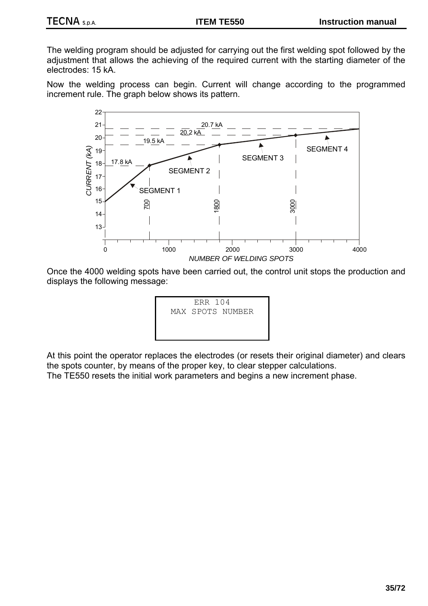The welding program should be adjusted for carrying out the first welding spot followed by the adjustment that allows the achieving of the required current with the starting diameter of the electrodes: 15 kA.

Now the welding process can begin. Current will change according to the programmed increment rule. The graph below shows its pattern.



Once the 4000 welding spots have been carried out, the control unit stops the production and displays the following message:



At this point the operator replaces the electrodes (or resets their original diameter) and clears the spots counter, by means of the proper key, to clear stepper calculations. The TE550 resets the initial work parameters and begins a new increment phase.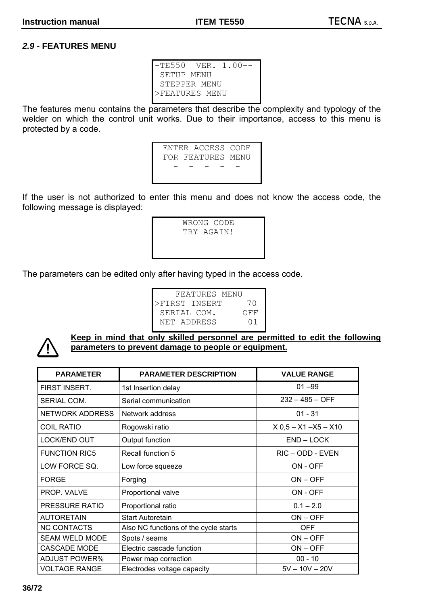#### *2.9 -* **FEATURES MENU**

-TE550 VER. 1.00-- SETUP MENU STEPPER MENU >FEATURES MENU

The features menu contains the parameters that describe the complexity and typology of the welder on which the control unit works. Due to their importance, access to this menu is protected by a code.

> ENTER ACCESS CODE FOR FEATURES MENU - - - - -

If the user is not authorized to enter this menu and does not know the access code, the following message is displayed:



The parameters can be edited only after having typed in the access code.

| FEATURES MENU |     |
|---------------|-----|
| >FIRST INSERT | 70  |
| SERIAL COM.   | OFF |
| NET ADDRESS   | 01  |



**Keep in mind that only skilled personnel are permitted to edit the following parameters to prevent damage to people or equipment.**

| <b>PARAMETER</b>       | <b>PARAMETER DESCRIPTION</b>          | <b>VALUE RANGE</b>               |
|------------------------|---------------------------------------|----------------------------------|
| FIRST INSERT.          | 1st Insertion delay                   | $01 - 99$                        |
| SERIAL COM.            | Serial communication                  | $232 - 485 - OFF$                |
| <b>NETWORK ADDRESS</b> | Network address                       | $01 - 31$                        |
| <b>COIL RATIO</b>      | Rogowski ratio                        | $X$ 0,5 – $X$ 1 – $X$ 5 – $X$ 10 |
| <b>LOCK/END OUT</b>    | Output function                       | END-LOCK                         |
| <b>FUNCTION RIC5</b>   | <b>Recall function 5</b>              | RIC-ODD-EVEN                     |
| LOW FORCE SQ.          | Low force squeeze                     | ON - OFF                         |
| <b>FORGE</b>           | Forging                               | $ON$ – OFF                       |
| PROP. VALVE            | Proportional valve                    | ON - OFF                         |
| PRESSURE RATIO         | Proportional ratio                    | $0.1 - 2.0$                      |
| <b>AUTORETAIN</b>      | <b>Start Autoretain</b>               | $ON$ – OFF                       |
| <b>NC CONTACTS</b>     | Also NC functions of the cycle starts | <b>OFF</b>                       |
| <b>SEAM WELD MODE</b>  | Spots / seams                         | $ON$ – OFF                       |
| <b>CASCADE MODE</b>    | Electric cascade function             | $ON$ – $OFF$                     |
| <b>ADJUST POWER%</b>   | Power map correction                  | $00 - 10$                        |
| <b>VOLTAGE RANGE</b>   | Electrodes voltage capacity           | $5V - 10V - 20V$                 |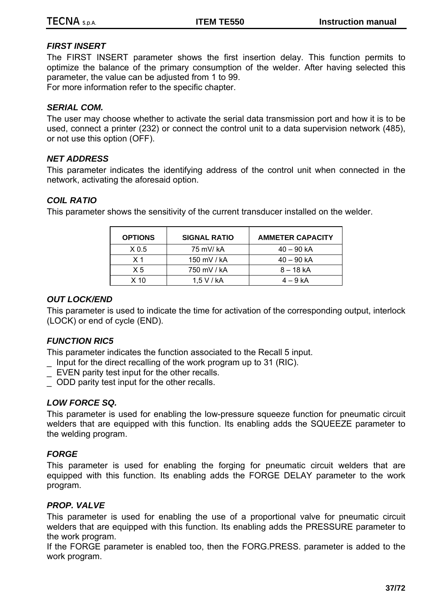### *FIRST INSERT*

The FIRST INSERT parameter shows the first insertion delay. This function permits to optimize the balance of the primary consumption of the welder. After having selected this parameter, the value can be adjusted from 1 to 99.

For more information refer to the specific chapter.

#### *SERIAL COM.*

The user may choose whether to activate the serial data transmission port and how it is to be used, connect a printer (232) or connect the control unit to a data supervision network (485), or not use this option (OFF).

#### *NET ADDRESS*

This parameter indicates the identifying address of the control unit when connected in the network, activating the aforesaid option.

## *COIL RATIO*

This parameter shows the sensitivity of the current transducer installed on the welder.

| <b>OPTIONS</b>   | <b>SIGNAL RATIO</b> | <b>AMMETER CAPACITY</b> |
|------------------|---------------------|-------------------------|
| X <sub>0.5</sub> | 75 mV/ kA           | $40 - 90$ kA            |
| $\times$ 1       | 150 mV / kA         | $40 - 90$ kA            |
| X 5              | 750 mV / kA         | 8 – 18 kA               |
| $X$ 10           | $1.5$ V / kA        | $4-9kA$                 |

## *OUT LOCK/END*

This parameter is used to indicate the time for activation of the corresponding output, interlock (LOCK) or end of cycle (END).

#### *FUNCTION RIC5*

This parameter indicates the function associated to the Recall 5 input.

- \_ Input for the direct recalling of the work program up to 31 (RIC).
- \_ EVEN parity test input for the other recalls.
- ODD parity test input for the other recalls.

## *LOW FORCE SQ.*

This parameter is used for enabling the low-pressure squeeze function for pneumatic circuit welders that are equipped with this function. Its enabling adds the SQUEEZE parameter to the welding program.

#### *FORGE*

This parameter is used for enabling the forging for pneumatic circuit welders that are equipped with this function. Its enabling adds the FORGE DELAY parameter to the work program.

#### *PROP. VALVE*

This parameter is used for enabling the use of a proportional valve for pneumatic circuit welders that are equipped with this function. Its enabling adds the PRESSURE parameter to the work program.

If the FORGE parameter is enabled too, then the FORG.PRESS. parameter is added to the work program.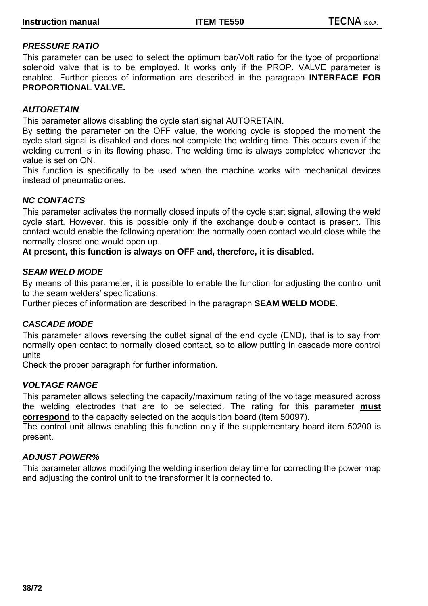#### *PRESSURE RATIO*

This parameter can be used to select the optimum bar/Volt ratio for the type of proportional solenoid valve that is to be employed. It works only if the PROP. VALVE parameter is enabled. Further pieces of information are described in the paragraph **INTERFACE FOR PROPORTIONAL VALVE.** 

#### *AUTORETAIN*

This parameter allows disabling the cycle start signal AUTORETAIN.

By setting the parameter on the OFF value, the working cycle is stopped the moment the cycle start signal is disabled and does not complete the welding time. This occurs even if the welding current is in its flowing phase. The welding time is always completed whenever the value is set on ON.

This function is specifically to be used when the machine works with mechanical devices instead of pneumatic ones.

#### *NC CONTACTS*

This parameter activates the normally closed inputs of the cycle start signal, allowing the weld cycle start. However, this is possible only if the exchange double contact is present. This contact would enable the following operation: the normally open contact would close while the normally closed one would open up.

#### **At present, this function is always on OFF and, therefore, it is disabled.**

#### *SEAM WELD MODE*

By means of this parameter, it is possible to enable the function for adjusting the control unit to the seam welders' specifications.

Further pieces of information are described in the paragraph **SEAM WELD MODE**.

#### *CASCADE MODE*

This parameter allows reversing the outlet signal of the end cycle (END), that is to say from normally open contact to normally closed contact, so to allow putting in cascade more control units

Check the proper paragraph for further information.

#### *VOLTAGE RANGE*

This parameter allows selecting the capacity/maximum rating of the voltage measured across the welding electrodes that are to be selected. The rating for this parameter **must correspond** to the capacity selected on the acquisition board (item 50097).

The control unit allows enabling this function only if the supplementary board item 50200 is present.

#### *ADJUST POWER%*

This parameter allows modifying the welding insertion delay time for correcting the power map and adjusting the control unit to the transformer it is connected to.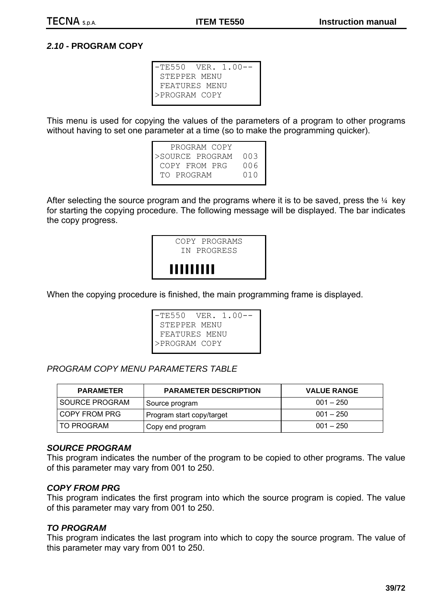#### *2.10* **- PROGRAM COPY**

-TE550 VER. 1.00-- STEPPER MENU FEATURES MENU >PROGRAM COPY

This menu is used for copying the values of the parameters of a program to other programs without having to set one parameter at a time (so to make the programming quicker).

| PROGRAM COPY    |      |
|-----------------|------|
| >SOURCE PROGRAM | 00 3 |
| COPY FROM PRG   | 006  |
| TO PROGRAM      | 01 O |
|                 |      |

After selecting the source program and the programs where it is to be saved, press the  $\frac{1}{4}$  key for starting the copying procedure. The following message will be displayed. The bar indicates the copy progress.



When the copying procedure is finished, the main programming frame is displayed.

| $-$ TE550 VER. 1.00-- |  |
|-----------------------|--|
| STEPPER MENU          |  |
| FEATURES MENU         |  |
| >PROGRAM COPY         |  |
|                       |  |

*PROGRAM COPY MENU PARAMETERS TABLE* 

| <b>PARAMETER</b> | <b>PARAMETER DESCRIPTION</b> | <b>VALUE RANGE</b> |
|------------------|------------------------------|--------------------|
| SOURCE PROGRAM   | Source program               | $001 - 250$        |
| COPY FROM PRG    | Program start copy/target    | $001 - 250$        |
| l TO PROGRAM     | Copy end program             | $001 - 250$        |

#### *SOURCE PROGRAM*

This program indicates the number of the program to be copied to other programs. The value of this parameter may vary from 001 to 250.

#### *COPY FROM PRG*

This program indicates the first program into which the source program is copied. The value of this parameter may vary from 001 to 250.

#### *TO PROGRAM*

This program indicates the last program into which to copy the source program. The value of this parameter may vary from 001 to 250.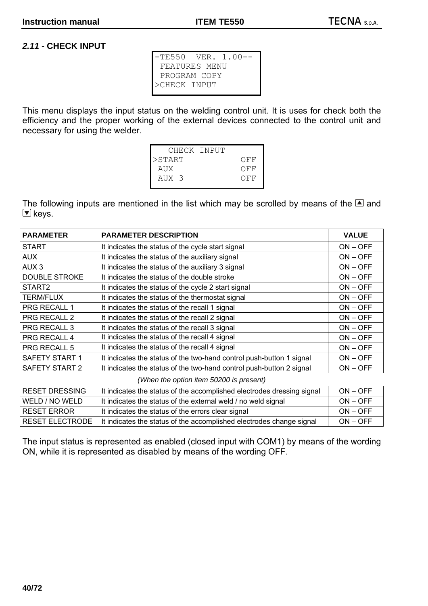#### *2.11* **- CHECK INPUT**

-TE550 VER. 1.00-- FEATURES MENU PROGRAM COPY >CHECK INPUT

This menu displays the input status on the welding control unit. It is uses for check both the efficiency and the proper working of the external devices connected to the control unit and necessary for using the welder.

|        | CHECK INPUT |     |
|--------|-------------|-----|
| >START |             | OFF |
| AUX    |             | OFF |
| AUX 3  |             | OFF |
|        |             |     |

The following inputs are mentioned in the list which may be scrolled by means of the  $\blacksquare$  and  $\overline{\mathbf{v}}$  keys.

| <b>PARAMETER</b>       | <b>PARAMETER DESCRIPTION</b>                                           | <b>VALUE</b> |
|------------------------|------------------------------------------------------------------------|--------------|
| <b>START</b>           | It indicates the status of the cycle start signal                      | $ON$ – OFF   |
| <b>AUX</b>             | It indicates the status of the auxiliary signal                        | $ON$ – OFF   |
| AUX <sub>3</sub>       | It indicates the status of the auxiliary 3 signal                      | $ON$ – OFF   |
| <b>DOUBLE STROKE</b>   | It indicates the status of the double stroke                           | $ON$ – OFF   |
| START2                 | It indicates the status of the cycle 2 start signal                    | $ON$ – OFF   |
| <b>TERM/FLUX</b>       | It indicates the status of the thermostat signal                       | $ON$ – OFF   |
| PRG RECALL 1           | It indicates the status of the recall 1 signal                         | $ON$ – $OFF$ |
| PRG RECALL 2           | It indicates the status of the recall 2 signal                         | $ON$ – OFF   |
| PRG RECALL 3           | It indicates the status of the recall 3 signal                         | $ON$ – OFF   |
| PRG RECALL 4           | It indicates the status of the recall 4 signal                         | $ON$ – OFF   |
| PRG RECALL 5           | It indicates the status of the recall 4 signal                         | $ON$ – OFF   |
| <b>SAFETY START 1</b>  | It indicates the status of the two-hand control push-button 1 signal   | $ON$ – $OFF$ |
| SAFETY START 2         | It indicates the status of the two-hand control push-button 2 signal   | $ON$ – $OFF$ |
|                        | (When the option item 50200 is present)                                |              |
| <b>RESET DRESSING</b>  | It indicates the status of the accomplished electrodes dressing signal | $ON$ – OFF   |
| WELD / NO WELD         | It indicates the status of the external weld / no weld signal          | $ON$ – $OFF$ |
| <b>RESET ERROR</b>     | It indicates the status of the errors clear signal                     | $ON$ – OFF   |
| <b>RESET ELECTRODE</b> | It indicates the status of the accomplished electrodes change signal   | $ON$ – $OFF$ |

The input status is represented as enabled (closed input with COM1) by means of the wording ON, while it is represented as disabled by means of the wording OFF.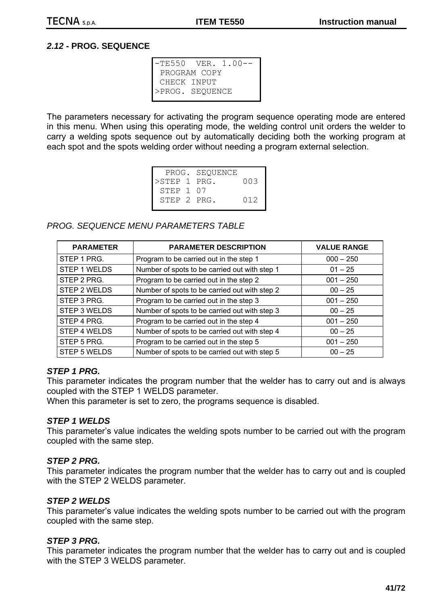#### *2.12* **- PROG. SEQUENCE**

-TE550 VER. 1.00-- PROGRAM COPY CHECK INPUT >PROG. SEQUENCE

The parameters necessary for activating the program sequence operating mode are entered in this menu. When using this operating mode, the welding control unit orders the welder to carry a welding spots sequence out by automatically deciding both the working program at each spot and the spots welding order without needing a program external selection.

|              |  | PROG. SEOUENCE |     |
|--------------|--|----------------|-----|
| >STEP 1 PRG. |  |                | 003 |
| STEP 1 07    |  |                |     |
| STEP 2 PRG.  |  |                | 012 |
|              |  |                |     |

*PROG. SEQUENCE MENU PARAMETERS TABLE* 

| <b>PARAMETER</b> | <b>PARAMETER DESCRIPTION</b>                  | <b>VALUE RANGE</b> |
|------------------|-----------------------------------------------|--------------------|
| STEP 1 PRG.      | Program to be carried out in the step 1       | $000 - 250$        |
| STEP 1 WELDS     | Number of spots to be carried out with step 1 | $01 - 25$          |
| STEP 2 PRG.      | Program to be carried out in the step 2       | $001 - 250$        |
| STEP 2 WELDS     | Number of spots to be carried out with step 2 | $00 - 25$          |
| STEP 3 PRG.      | Program to be carried out in the step 3       | $001 - 250$        |
| STEP 3 WELDS     | Number of spots to be carried out with step 3 | $00 - 25$          |
| STEP 4 PRG.      | Program to be carried out in the step 4       | $001 - 250$        |
| STEP 4 WELDS     | Number of spots to be carried out with step 4 | $00 - 25$          |
| STEP 5 PRG.      | Program to be carried out in the step 5       | $001 - 250$        |
| STEP 5 WELDS     | Number of spots to be carried out with step 5 | $00 - 25$          |

#### *STEP 1 PRG.*

This parameter indicates the program number that the welder has to carry out and is always coupled with the STEP 1 WELDS parameter.

When this parameter is set to zero, the programs sequence is disabled.

#### *STEP 1 WELDS*

This parameter's value indicates the welding spots number to be carried out with the program coupled with the same step.

#### *STEP 2 PRG.*

This parameter indicates the program number that the welder has to carry out and is coupled with the STEP 2 WELDS parameter.

#### *STEP 2 WELDS*

This parameter's value indicates the welding spots number to be carried out with the program coupled with the same step.

#### *STEP 3 PRG.*

This parameter indicates the program number that the welder has to carry out and is coupled with the STEP 3 WELDS parameter.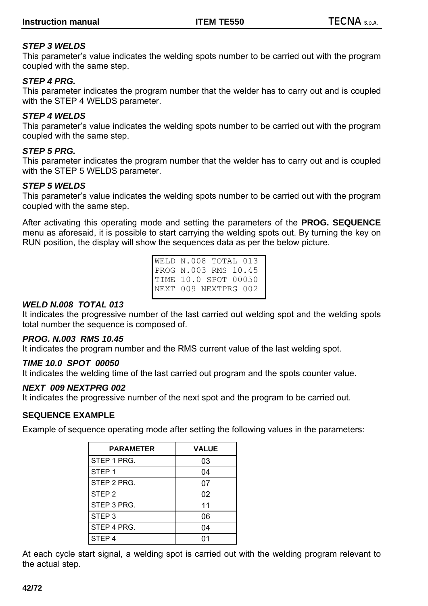#### *STEP 3 WELDS*

This parameter's value indicates the welding spots number to be carried out with the program coupled with the same step.

#### *STEP 4 PRG.*

This parameter indicates the program number that the welder has to carry out and is coupled with the STEP 4 WELDS parameter.

#### *STEP 4 WELDS*

This parameter's value indicates the welding spots number to be carried out with the program coupled with the same step.

#### *STEP 5 PRG.*

This parameter indicates the program number that the welder has to carry out and is coupled with the STEP 5 WELDS parameter.

#### *STEP 5 WELDS*

This parameter's value indicates the welding spots number to be carried out with the program coupled with the same step.

After activating this operating mode and setting the parameters of the **PROG. SEQUENCE** menu as aforesaid, it is possible to start carrying the welding spots out. By turning the key on RUN position, the display will show the sequences data as per the below picture.



#### *WELD N.008 TOTAL 013*

It indicates the progressive number of the last carried out welding spot and the welding spots total number the sequence is composed of.

#### *PROG. N.003 RMS 10.45*

It indicates the program number and the RMS current value of the last welding spot.

#### *TIME 10.0 SPOT 00050*

It indicates the welding time of the last carried out program and the spots counter value.

#### *NEXT 009 NEXTPRG 002*

It indicates the progressive number of the next spot and the program to be carried out.

#### **SEQUENCE EXAMPLE**

Example of sequence operating mode after setting the following values in the parameters:

| <b>PARAMETER</b>  | <b>VALUE</b> |
|-------------------|--------------|
| STEP 1 PRG.       | 03           |
| STEP <sub>1</sub> | 04           |
| STEP 2 PRG.       | 07           |
| STEP <sub>2</sub> | 02           |
| STEP 3 PRG.       | 11           |
| STEP <sub>3</sub> | 06           |
| STEP 4 PRG.       | 04           |
| STEP <sub>4</sub> | ሰ1           |

At each cycle start signal, a welding spot is carried out with the welding program relevant to the actual step.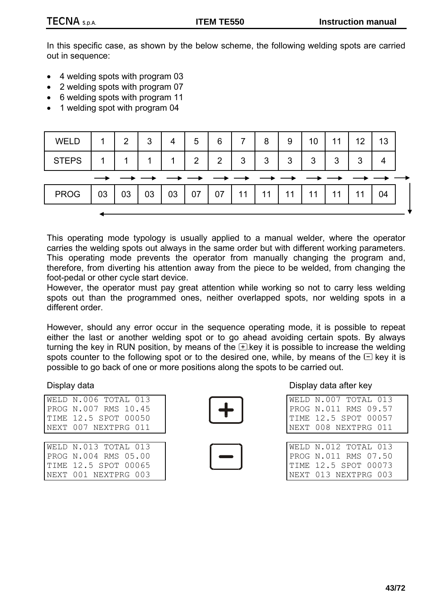In this specific case, as shown by the below scheme, the following welding spots are carried out in sequence:

- 4 welding spots with program 03
- 2 welding spots with program 07
- 6 welding spots with program 11
- 1 welding spot with program 04

| <b>WELD</b>  |    | $\overline{2}$ | 3  | 4  | 5  | 6  | ⇁  | 8  | 9       | 10 | 11 | 12 | 13 |
|--------------|----|----------------|----|----|----|----|----|----|---------|----|----|----|----|
| <b>STEPS</b> |    |                |    |    | 2  | 2  | 3  | 3  | 3       | 3  | 3  | 3  | 4  |
|              |    |                |    |    |    |    |    |    |         |    |    |    |    |
|              |    |                |    |    |    |    |    |    |         |    |    |    |    |
| <b>PROG</b>  | 03 | 03             | 03 | 03 | 07 | 07 | 11 | ۱1 | 11<br>◢ |    | 11 |    | 04 |

This operating mode typology is usually applied to a manual welder, where the operator carries the welding spots out always in the same order but with different working parameters. This operating mode prevents the operator from manually changing the program and, therefore, from diverting his attention away from the piece to be welded, from changing the foot-pedal or other cycle start device.

However, the operator must pay great attention while working so not to carry less welding spots out than the programmed ones, neither overlapped spots, nor welding spots in a different order.

However, should any error occur in the sequence operating mode, it is possible to repeat either the last or another welding spot or to go ahead avoiding certain spots. By always turning the key in RUN position, by means of the  $E$  key it is possible to increase the welding spots counter to the following spot or to the desired one, while, by means of the  $\Xi$  key it is possible to go back of one or more positions along the spots to be carried out.

| WELD N.006 TOTAL 013 |  |
|----------------------|--|
| PROG N.007 RMS 10.45 |  |
| TIME 12.5 SPOT 00050 |  |
| NEXT 007 NEXTPRG 011 |  |

| WELD N.013 TOTAL 013 |  |
|----------------------|--|
| PROG N.004 RMS 05.00 |  |
| TIME 12.5 SPOT 00065 |  |
| NEXT 001 NEXTPRG 003 |  |





#### Display data Display data after key

| WEID N.007 TOTAL 013 |  |
|----------------------|--|
| PROG N.011 RMS 09.57 |  |
| TIME 12.5 SPOT 00057 |  |
| NEXT 008 NEXTPRG 011 |  |

| WELD N.012 TOTAL 013 |  |
|----------------------|--|
| PROG N.011 RMS 07.50 |  |
| TIME 12.5 SPOT 00073 |  |
| NEXT 013 NEXTPRG 003 |  |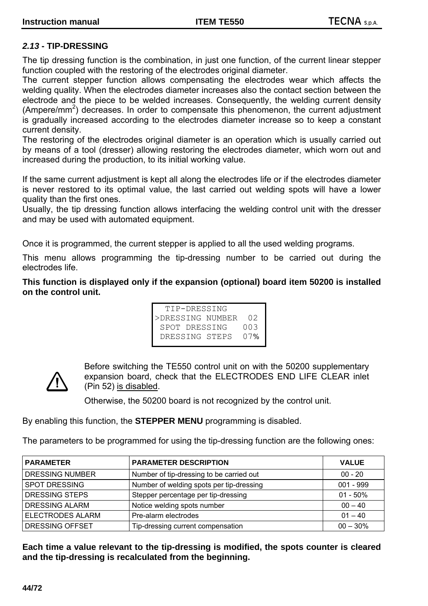#### *2.13* **- TIP-DRESSING**

The tip dressing function is the combination, in just one function, of the current linear stepper function coupled with the restoring of the electrodes original diameter.

The current stepper function allows compensating the electrodes wear which affects the welding quality. When the electrodes diameter increases also the contact section between the electrode and the piece to be welded increases. Consequently, the welding current density  $(Ampere/mm<sup>2</sup>)$  decreases. In order to compensate this phenomenon, the current adjustment is gradually increased according to the electrodes diameter increase so to keep a constant current density.

The restoring of the electrodes original diameter is an operation which is usually carried out by means of a tool (dresser) allowing restoring the electrodes diameter, which worn out and increased during the production, to its initial working value.

If the same current adjustment is kept all along the electrodes life or if the electrodes diameter is never restored to its optimal value, the last carried out welding spots will have a lower quality than the first ones.

Usually, the tip dressing function allows interfacing the welding control unit with the dresser and may be used with automated equipment.

Once it is programmed, the current stepper is applied to all the used welding programs.

This menu allows programming the tip-dressing number to be carried out during the electrodes life.

**This function is displayed only if the expansion (optional) board item 50200 is installed on the control unit.** 

| TIP-DRESSING     |     |  |  |
|------------------|-----|--|--|
| >DRESSING NUMBER | 02  |  |  |
| SPOT DRESSING    | 003 |  |  |
| DRESSING STEPS   | 07% |  |  |
|                  |     |  |  |



Before switching the TE550 control unit on with the 50200 supplementary expansion board, check that the ELECTRODES END LIFE CLEAR inlet (Pin 52) is disabled.

Otherwise, the 50200 board is not recognized by the control unit.

By enabling this function, the **STEPPER MENU** programming is disabled.

The parameters to be programmed for using the tip-dressing function are the following ones:

| <b>PARAMETER</b>        | <b>PARAMETER DESCRIPTION</b>             | <b>VALUE</b> |
|-------------------------|------------------------------------------|--------------|
| <b>DRESSING NUMBER</b>  | Number of tip-dressing to be carried out | $00 - 20$    |
| <b>SPOT DRESSING</b>    | Number of welding spots per tip-dressing | $001 - 999$  |
| <b>DRESSING STEPS</b>   | Stepper percentage per tip-dressing      | $01 - 50%$   |
| <b>DRESSING ALARM</b>   | Notice welding spots number              | $00 - 40$    |
| <b>ELECTRODES ALARM</b> | Pre-alarm electrodes                     | $01 - 40$    |
| DRESSING OFFSET         | Tip-dressing current compensation        | $00 - 30%$   |

**Each time a value relevant to the tip-dressing is modified, the spots counter is cleared and the tip-dressing is recalculated from the beginning.**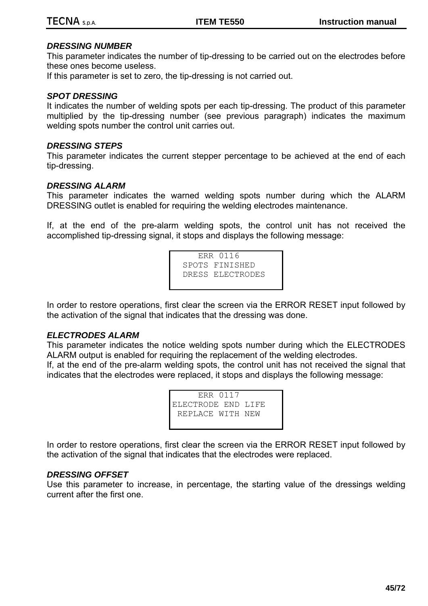#### *DRESSING NUMBER*

This parameter indicates the number of tip-dressing to be carried out on the electrodes before these ones become useless.

If this parameter is set to zero, the tip-dressing is not carried out.

#### *SPOT DRESSING*

It indicates the number of welding spots per each tip-dressing. The product of this parameter multiplied by the tip-dressing number (see previous paragraph) indicates the maximum welding spots number the control unit carries out.

#### *DRESSING STEPS*

This parameter indicates the current stepper percentage to be achieved at the end of each tip-dressing.

#### *DRESSING ALARM*

This parameter indicates the warned welding spots number during which the ALARM DRESSING outlet is enabled for requiring the welding electrodes maintenance.

If, at the end of the pre-alarm welding spots, the control unit has not received the accomplished tip-dressing signal, it stops and displays the following message:

```
 ERR 0116 
SPOTS FINISHED 
DRESS ELECTRODES
```
In order to restore operations, first clear the screen via the ERROR RESET input followed by the activation of the signal that indicates that the dressing was done.

#### *ELECTRODES ALARM*

This parameter indicates the notice welding spots number during which the ELECTRODES ALARM output is enabled for requiring the replacement of the welding electrodes. If, at the end of the pre-alarm welding spots, the control unit has not received the signal that indicates that the electrodes were replaced, it stops and displays the following message:

> ERR 0117 ELECTRODE END LIFE REPLACE WITH NEW

In order to restore operations, first clear the screen via the ERROR RESET input followed by the activation of the signal that indicates that the electrodes were replaced.

#### *DRESSING OFFSET*

Use this parameter to increase, in percentage, the starting value of the dressings welding current after the first one.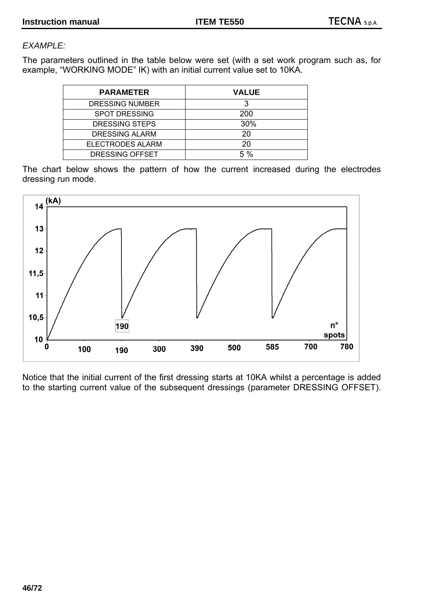## *EXAMPLE:*

The parameters outlined in the table below were set (with a set work program such as, for example, "WORKING MODE" IK) with an initial current value set to 10KA.

| <b>PARAMETER</b>        | <b>VALUE</b> |
|-------------------------|--------------|
| DRESSING NUMBER         | 3            |
| <b>SPOT DRESSING</b>    | 200          |
| <b>DRESSING STEPS</b>   | 30%          |
| <b>DRESSING ALARM</b>   | 20           |
| <b>ELECTRODES ALARM</b> | 20           |
| DRESSING OFFSET         | 5%           |

The chart below shows the pattern of how the current increased during the electrodes dressing run mode.



Notice that the initial current of the first dressing starts at 10KA whilst a percentage is added to the starting current value of the subsequent dressings (parameter DRESSING OFFSET).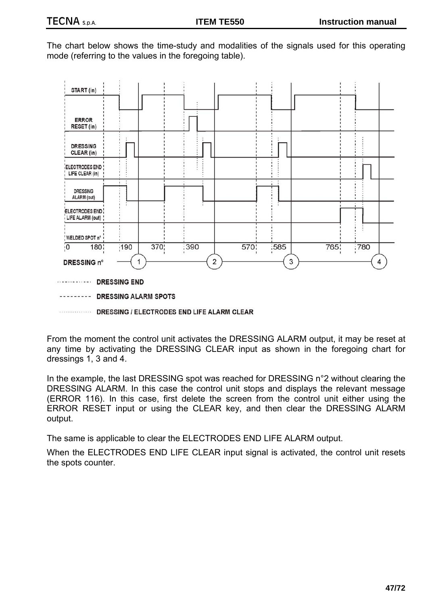The chart below shows the time-study and modalities of the signals used for this operating mode (referring to the values in the foregoing table).



From the moment the control unit activates the DRESSING ALARM output, it may be reset at any time by activating the DRESSING CLEAR input as shown in the foregoing chart for dressings 1, 3 and 4.

In the example, the last DRESSING spot was reached for DRESSING n°2 without clearing the DRESSING ALARM. In this case the control unit stops and displays the relevant message (ERROR 116). In this case, first delete the screen from the control unit either using the ERROR RESET input or using the CLEAR key, and then clear the DRESSING ALARM output.

The same is applicable to clear the ELECTRODES END LIFE ALARM output.

When the ELECTRODES END LIFE CLEAR input signal is activated, the control unit resets the spots counter.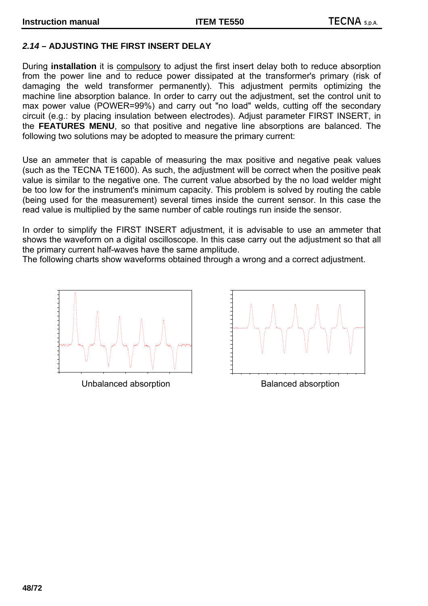#### *2.14* **– ADJUSTING THE FIRST INSERT DELAY**

During **installation** it is compulsory to adjust the first insert delay both to reduce absorption from the power line and to reduce power dissipated at the transformer's primary (risk of damaging the weld transformer permanently). This adjustment permits optimizing the machine line absorption balance. In order to carry out the adjustment, set the control unit to max power value (POWER=99%) and carry out "no load" welds, cutting off the secondary circuit (e.g.: by placing insulation between electrodes). Adjust parameter FIRST INSERT, in the **FEATURES MENU**, so that positive and negative line absorptions are balanced. The following two solutions may be adopted to measure the primary current:

Use an ammeter that is capable of measuring the max positive and negative peak values (such as the TECNA TE1600). As such, the adjustment will be correct when the positive peak value is similar to the negative one. The current value absorbed by the no load welder might be too low for the instrument's minimum capacity. This problem is solved by routing the cable (being used for the measurement) several times inside the current sensor. In this case the read value is multiplied by the same number of cable routings run inside the sensor.

In order to simplify the FIRST INSERT adjustment, it is advisable to use an ammeter that shows the waveform on a digital oscilloscope. In this case carry out the adjustment so that all the primary current half-waves have the same amplitude.

The following charts show waveforms obtained through a wrong and a correct adjustment.



Unbalanced absorption **Balanced** absorption

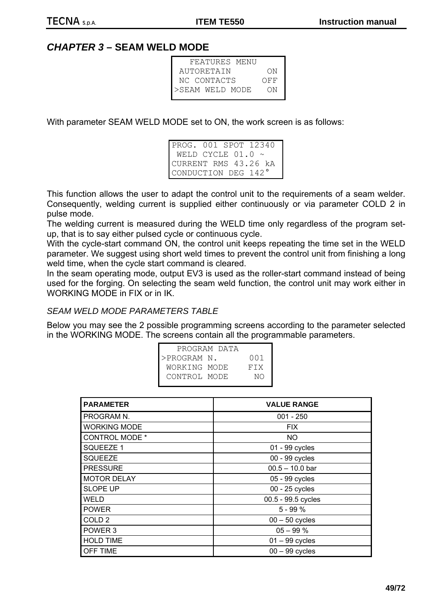## *CHAPTER 3* **– SEAM WELD MODE**

| FEATURES MENU   |     |
|-----------------|-----|
| AUTORETAIN      | ON  |
| NC CONTACTS     | OFF |
| >SEAM WEID MODE | ON  |

With parameter SEAM WELD MODE set to ON, the work screen is as follows:

| PROG. 001 SPOT 12340 |                        |                      |
|----------------------|------------------------|----------------------|
|                      | WELD CYCLE $01.0 \sim$ |                      |
|                      |                        | CURRENT RMS 43.26 kA |
| CONDUCTION DEG 142°  |                        |                      |

This function allows the user to adapt the control unit to the requirements of a seam welder. Consequently, welding current is supplied either continuously or via parameter COLD 2 in pulse mode.

The welding current is measured during the WELD time only regardless of the program setup, that is to say either pulsed cycle or continuous cycle.

With the cycle-start command ON, the control unit keeps repeating the time set in the WELD parameter. We suggest using short weld times to prevent the control unit from finishing a long weld time, when the cycle start command is cleared.

In the seam operating mode, output EV3 is used as the roller-start command instead of being used for the forging. On selecting the seam weld function, the control unit may work either in WORKING MODE in FIX or in IK.

#### *SEAM WELD MODE PARAMETERS TABLE*

Below you may see the 2 possible programming screens according to the parameter selected in the WORKING MODE. The screens contain all the programmable parameters.

| PROGRAM DATA |     |
|--------------|-----|
| >PROGRAM N.  | 001 |
| WORKING MODE | FTX |
| CONTROL MODE | NO  |
|              |     |

| <b>PARAMETER</b>      | <b>VALUE RANGE</b> |  |
|-----------------------|--------------------|--|
| PROGRAM N.            | $001 - 250$        |  |
| <b>WORKING MODE</b>   | <b>FIX</b>         |  |
| <b>CONTROL MODE *</b> | <b>NO</b>          |  |
| <b>SQUEEZE 1</b>      | 01 - 99 cycles     |  |
| <b>SQUEEZE</b>        | 00 - 99 cycles     |  |
| <b>PRESSURE</b>       | $00.5 - 10.0$ bar  |  |
| <b>MOTOR DELAY</b>    | 05 - 99 cycles     |  |
| <b>SLOPE UP</b>       | 00 - 25 cycles     |  |
| <b>WELD</b>           | 00.5 - 99.5 cycles |  |
| <b>POWER</b>          | $5 - 99%$          |  |
| COLD <sub>2</sub>     | $00 - 50$ cycles   |  |
| POWER <sub>3</sub>    | $05 - 99%$         |  |
| <b>HOLD TIME</b>      | $01 - 99$ cycles   |  |
| OFF TIME              | $00 - 99$ cycles   |  |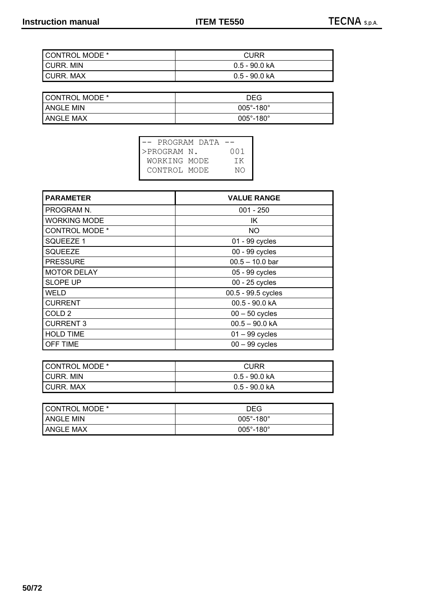| CONTROL MODE *   | <b>CURR</b>     |  |
|------------------|-----------------|--|
| CURR. MIN        | $0.5 - 90.0$ kA |  |
| <b>CURR. MAX</b> | $0.5 - 90.0$ kA |  |

| CONTROL MODE *   | <b>DEG</b>                    |  |
|------------------|-------------------------------|--|
| <b>ANGLE MIN</b> | $005^{\circ}$ -180 $^{\circ}$ |  |
| <b>ANGLE MAX</b> | $005^{\circ}$ -180 $^{\circ}$ |  |

| -- program data -- |     |
|--------------------|-----|
| >PROGRAM N.        | 001 |
| WORKING MODE       | TK  |
| CONTROL MODE       | NΟ  |

| <b>PARAMETER</b>      | <b>VALUE RANGE</b> |
|-----------------------|--------------------|
| PROGRAM N.            | $001 - 250$        |
| <b>WORKING MODE</b>   | ΙK                 |
| <b>CONTROL MODE *</b> | ΝO                 |
| <b>SQUEEZE 1</b>      | 01 - 99 cycles     |
| <b>SQUEEZE</b>        | 00 - 99 cycles     |
| <b>PRESSURE</b>       | $00.5 - 10.0$ bar  |
| <b>MOTOR DELAY</b>    | 05 - 99 cycles     |
| <b>SLOPE UP</b>       | 00 - 25 cycles     |
| <b>WELD</b>           | 00.5 - 99.5 cycles |
| <b>CURRENT</b>        | 00.5 - 90.0 kA     |
| COLD <sub>2</sub>     | $00 - 50$ cycles   |
| <b>CURRENT 3</b>      | $00.5 - 90.0 kA$   |
| <b>HOLD TIME</b>      | $01 - 99$ cycles   |
| <b>OFF TIME</b>       | $00 - 99$ cycles   |

| CONTROL MODE * | <b>CURR</b>       |
|----------------|-------------------|
| CURR. MIN      | $0.5$ - $90.0$ kA |
| CURR. MAX      | $0.5 - 90.0$ kA   |

| CONTROL MODE * | <b>DEG</b>                    |
|----------------|-------------------------------|
| LANGLE MIN     | $005^{\circ}$ -180 $^{\circ}$ |
| I ANGLE MAX    | $005^{\circ}$ -180 $^{\circ}$ |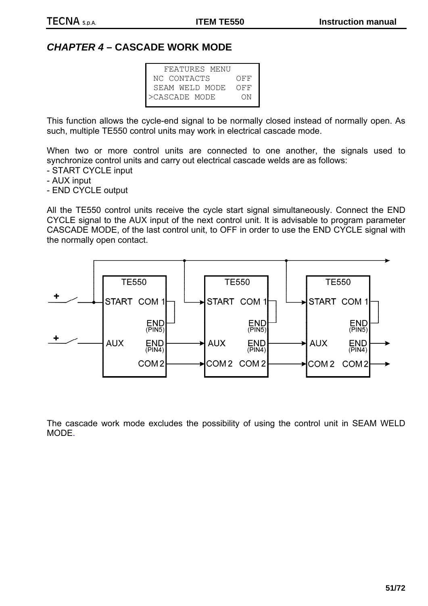## *CHAPTER 4* **– CASCADE WORK MODE**

| FEATURES MENU  |     |
|----------------|-----|
| NC CONTACTS    | OFF |
| SEAM WEID MODE | OFF |
| >CASCADE MODE  | ON  |
|                |     |

This function allows the cycle-end signal to be normally closed instead of normally open. As such, multiple TE550 control units may work in electrical cascade mode.

When two or more control units are connected to one another, the signals used to synchronize control units and carry out electrical cascade welds are as follows:

- START CYCLE input
- AUX input
- END CYCLE output

All the TE550 control units receive the cycle start signal simultaneously. Connect the END CYCLE signal to the AUX input of the next control unit. It is advisable to program parameter CASCADE MODE, of the last control unit, to OFF in order to use the END CYCLE signal with the normally open contact.



The cascade work mode excludes the possibility of using the control unit in SEAM WELD MODE.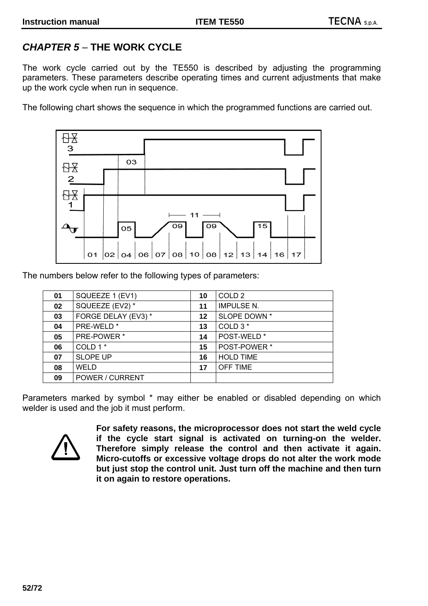## *CHAPTER 5* – **THE WORK CYCLE**

The work cycle carried out by the TE550 is described by adjusting the programming parameters. These parameters describe operating times and current adjustments that make up the work cycle when run in sequence.

The following chart shows the sequence in which the programmed functions are carried out.



The numbers below refer to the following types of parameters:

| 01 | SQUEEZE 1 (EV1)        | 10 | COLD <sub>2</sub>      |
|----|------------------------|----|------------------------|
| 02 | SQUEEZE (EV2) *        | 11 | <b>IMPULSE N.</b>      |
| 03 | FORGE DELAY (EV3) *    | 12 | SLOPE DOWN *           |
| 04 | PRE-WELD <sup>*</sup>  | 13 | COLD 3 <sup>*</sup>    |
| 05 | PRE-POWER *            | 14 | POST-WELD <sup>*</sup> |
| 06 | COLD 1*                | 15 | POST-POWER *           |
| 07 | <b>SLOPE UP</b>        | 16 | <b>HOLD TIME</b>       |
| 08 | WELD                   | 17 | OFF TIME               |
| 09 | <b>POWER / CURRENT</b> |    |                        |

Parameters marked by symbol \* may either be enabled or disabled depending on which welder is used and the job it must perform.



**For safety reasons, the microprocessor does not start the weld cycle if the cycle start signal is activated on turning-on the welder. Therefore simply release the control and then activate it again. Micro-cutoffs or excessive voltage drops do not alter the work mode but just stop the control unit. Just turn off the machine and then turn it on again to restore operations.**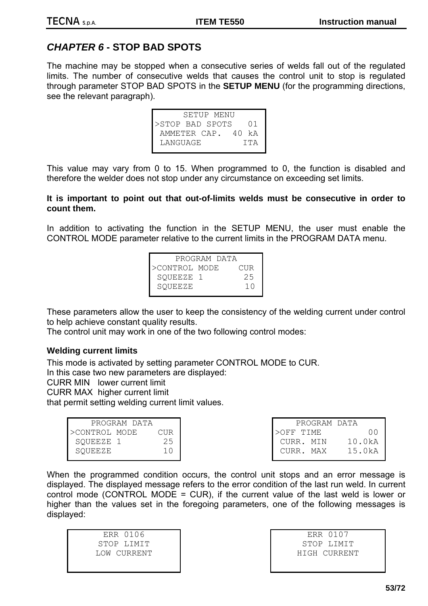## *CHAPTER 6* **- STOP BAD SPOTS**

The machine may be stopped when a consecutive series of welds fall out of the regulated limits. The number of consecutive welds that causes the control unit to stop is regulated through parameter STOP BAD SPOTS in the **SETUP MENU** (for the programming directions, see the relevant paragraph).

| SETUP MENU                |  |  |  |
|---------------------------|--|--|--|
| >STOP BAD SPOTS<br>01     |  |  |  |
| AMMETER CAP.<br>kA<br>4 Q |  |  |  |
| <b>LANGUAGE</b><br>TTA    |  |  |  |

This value may vary from 0 to 15. When programmed to 0, the function is disabled and therefore the welder does not stop under any circumstance on exceeding set limits.

**It is important to point out that out-of-limits welds must be consecutive in order to count them.** 

In addition to activating the function in the SETUP MENU, the user must enable the CONTROL MODE parameter relative to the current limits in the PROGRAM DATA menu.

|               | PROGRAM DATA |     |
|---------------|--------------|-----|
| >CONTROL MODE |              | CUR |
| SQUEEZE 1     |              | 25  |
| SOUEEZE       |              | 1 O |
|               |              |     |

These parameters allow the user to keep the consistency of the welding current under control to help achieve constant quality results.

The control unit may work in one of the two following control modes:

#### **Welding current limits**

This mode is activated by setting parameter CONTROL MODE to CUR. In this case two new parameters are displayed:

CURR MIN lower current limit

CURR MAX higher current limit

that permit setting welding current limit values.

| PROGRAM DATA  |     | PROGRAM DATA |        |
|---------------|-----|--------------|--------|
| >CONTROL MODE | CUR | >OFF TIME    |        |
| SQUEEZE 1     | 25  | CURR. MIN    | 10.0kA |
| SOUEEZE       |     | MAX<br>CURR. | 15.0kA |

When the programmed condition occurs, the control unit stops and an error message is displayed. The displayed message refers to the error condition of the last run weld. In current control mode (CONTROL MODE = CUR), if the current value of the last weld is lower or higher than the values set in the foregoing parameters, one of the following messages is displayed:

|  | ERR 0106    |  |
|--|-------------|--|
|  | STOP LIMIT  |  |
|  | LOW CURRENT |  |
|  |             |  |

|  | ERR 0107     |
|--|--------------|
|  | STOP LIMIT   |
|  | HIGH CURRENT |
|  |              |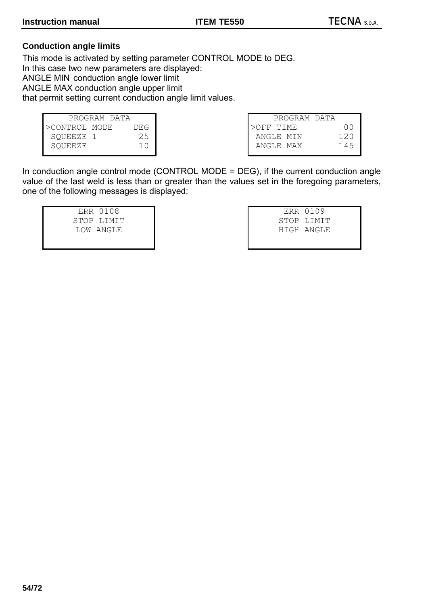#### **Conduction angle limits**

This mode is activated by setting parameter CONTROL MODE to DEG. In this case two new parameters are displayed: ANGLE MIN conduction angle lower limit ANGLE MAX conduction angle upper limit that permit setting current conduction angle limit values.

| PROGRAM DATA  |     | PROGRAM DATA |     |
|---------------|-----|--------------|-----|
| >CONTROL MODE | DEG | >OFF TIME    | 00  |
| SQUEEZE 1     | 25  | ANGLE MIN    | 120 |
| SOUEEZE       |     | ANGLE MAX    | 145 |
|               |     |              |     |

In conduction angle control mode (CONTROL MODE = DEG), if the current conduction angle value of the last weld is less than or greater than the values set in the foregoing parameters, one of the following messages is displayed:

| ERR 0108   | ERR 0109   |
|------------|------------|
| STOP LIMIT | STOP LIMIT |
| LOW ANGLE  | HIGH ANGLE |
|            |            |
|            |            |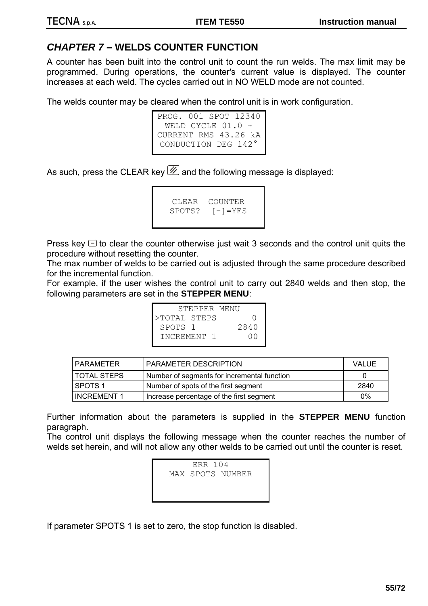## *CHAPTER 7* **– WELDS COUNTER FUNCTION**

A counter has been built into the control unit to count the run welds. The max limit may be programmed. During operations, the counter's current value is displayed. The counter increases at each weld. The cycles carried out in NO WELD mode are not counted.

The welds counter may be cleared when the control unit is in work configuration.

PROG. 001 SPOT 12340 WELD CYCLE  $01.0 \sim$ CURRENT RMS 43.26 kA CONDUCTION DEG 142°

As such, press the CLEAR key  $\mathbb Z$  and the following message is displayed:

| CLEAR COUNTER          |
|------------------------|
| $SPOTS?$ $[-]$ = $YES$ |
|                        |

Press key  $\Xi$  to clear the counter otherwise just wait 3 seconds and the control unit quits the procedure without resetting the counter.

The max number of welds to be carried out is adjusted through the same procedure described for the incremental function.

For example, if the user wishes the control unit to carry out 2840 welds and then stop, the following parameters are set in the **STEPPER MENU**:

| STEPPER MENU |      |
|--------------|------|
| >TOTAL STEPS |      |
| SPOTS 1      | 2840 |
| INCREMENT 1  | ΩO   |
|              |      |

| PARAMETER          | PARAMETER DESCRIPTION                       | <b>VALUE</b> |
|--------------------|---------------------------------------------|--------------|
| I TOTAL STEPS      | Number of segments for incremental function |              |
| SPOTS 1            | Number of spots of the first segment        | 2840         |
| <b>INCREMENT 1</b> | I Increase percentage of the first segment  | 0%           |

Further information about the parameters is supplied in the **STEPPER MENU** function paragraph.

The control unit displays the following message when the counter reaches the number of welds set herein, and will not allow any other welds to be carried out until the counter is reset.



If parameter SPOTS 1 is set to zero, the stop function is disabled.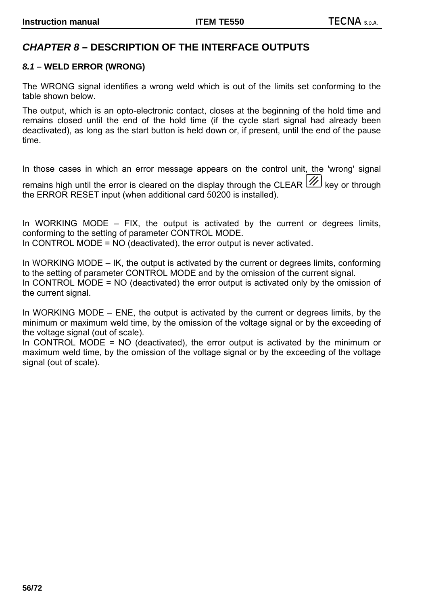## *CHAPTER 8* **– DESCRIPTION OF THE INTERFACE OUTPUTS**

#### *8.1* **– WELD ERROR (WRONG)**

The WRONG signal identifies a wrong weld which is out of the limits set conforming to the table shown below.

The output, which is an opto-electronic contact, closes at the beginning of the hold time and remains closed until the end of the hold time (if the cycle start signal had already been deactivated), as long as the start button is held down or, if present, until the end of the pause time.

In those cases in which an error message appears on the control unit, the 'wrong' signal remains high until the error is cleared on the display through the CLEAR  $\mathbb{Z}$  key or through the ERROR RESET input (when additional card 50200 is installed).

In WORKING MODE  $-$  FIX, the output is activated by the current or degrees limits, conforming to the setting of parameter CONTROL MODE. In CONTROL MODE = NO (deactivated), the error output is never activated.

In WORKING MODE – IK, the output is activated by the current or degrees limits, conforming to the setting of parameter CONTROL MODE and by the omission of the current signal. In CONTROL MODE = NO (deactivated) the error output is activated only by the omission of the current signal.

In WORKING MODE – ENE, the output is activated by the current or degrees limits, by the minimum or maximum weld time, by the omission of the voltage signal or by the exceeding of the voltage signal (out of scale).

In CONTROL MODE = NO (deactivated), the error output is activated by the minimum or maximum weld time, by the omission of the voltage signal or by the exceeding of the voltage signal (out of scale).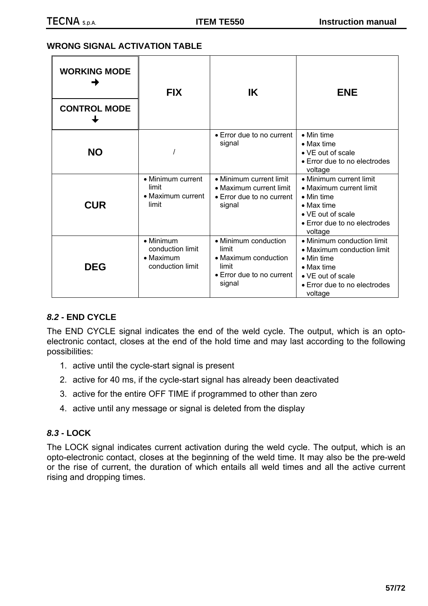### **WRONG SIGNAL ACTIVATION TABLE**

| <b>WORKING MODE</b> | <b>FIX</b>                                                             | IK                                                                                                    | <b>ENE</b>                                                                                                                                                           |  |
|---------------------|------------------------------------------------------------------------|-------------------------------------------------------------------------------------------------------|----------------------------------------------------------------------------------------------------------------------------------------------------------------------|--|
| <b>CONTROL MODE</b> |                                                                        |                                                                                                       |                                                                                                                                                                      |  |
| <b>NO</b>           |                                                                        | • Error due to no current<br>signal                                                                   | $\bullet$ Min time<br>• Max time<br>• VE out of scale<br>• Error due to no electrodes<br>voltage                                                                     |  |
| <b>CUR</b>          | • Minimum current<br>limit<br>• Maximum current<br>limit               | • Minimum current limit<br>• Maximum current limit<br>• Error due to no current<br>signal             | • Minimum current limit<br>• Maximum current limit<br>• Min time<br>$\bullet$ Max time<br>• VE out of scale<br>• Error due to no electrodes<br>voltage               |  |
| <b>DEG</b>          | • Minimum<br>conduction limit<br>$\bullet$ Maximum<br>conduction limit | • Minimum conduction<br>limit<br>• Maximum conduction<br>limit<br>• Error due to no current<br>signal | • Minimum conduction limit<br>• Maximum conduction limit<br>$\bullet$ Min time<br>$\bullet$ Max time<br>• VE out of scale<br>• Error due to no electrodes<br>voltage |  |

#### *8.2* **- END CYCLE**

The END CYCLE signal indicates the end of the weld cycle. The output, which is an optoelectronic contact, closes at the end of the hold time and may last according to the following possibilities:

- 1. active until the cycle-start signal is present
- 2. active for 40 ms, if the cycle-start signal has already been deactivated
- 3. active for the entire OFF TIME if programmed to other than zero
- 4. active until any message or signal is deleted from the display

#### *8.3* **- LOCK**

The LOCK signal indicates current activation during the weld cycle. The output, which is an opto-electronic contact, closes at the beginning of the weld time. It may also be the pre-weld or the rise of current, the duration of which entails all weld times and all the active current rising and dropping times.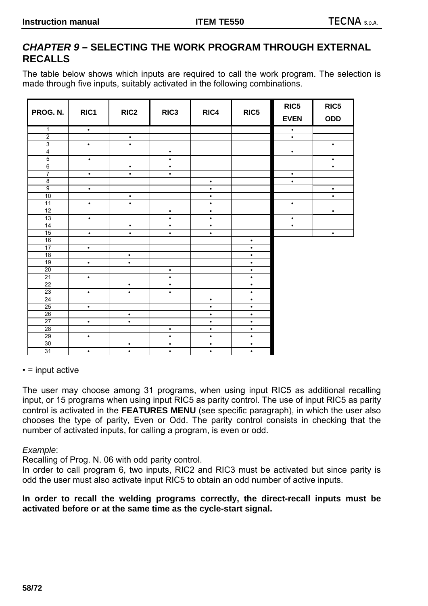## *CHAPTER 9* **– SELECTING THE WORK PROGRAM THROUGH EXTERNAL RECALLS**

The table below shows which inputs are required to call the work program. The selection is made through five inputs, suitably activated in the following combinations.

| PROG. N.        |           | RIC1<br>RIC <sub>2</sub><br>RIC <sub>3</sub><br>RIC4 |           | RIC5      | RIC <sub>5</sub> | RIC <sub>5</sub> |           |
|-----------------|-----------|------------------------------------------------------|-----------|-----------|------------------|------------------|-----------|
|                 |           |                                                      |           |           |                  | <b>EVEN</b>      | ODD       |
| $\overline{1}$  | $\bullet$ |                                                      |           |           |                  | $\bullet$        |           |
| $\overline{2}$  |           | $\bullet$                                            |           |           |                  | $\bullet$        |           |
| $\overline{3}$  | $\bullet$ | $\bullet$                                            |           |           |                  |                  | $\bullet$ |
| $\overline{4}$  |           |                                                      | $\bullet$ |           |                  | $\bullet$        |           |
| $\overline{5}$  | $\bullet$ |                                                      | $\bullet$ |           |                  |                  | $\bullet$ |
| $6\overline{6}$ |           | $\bullet$                                            | $\bullet$ |           |                  |                  | $\bullet$ |
| $\overline{7}$  | $\bullet$ | $\bullet$                                            | $\bullet$ |           |                  | $\bullet$        |           |
| $\overline{8}$  |           |                                                      |           | $\bullet$ |                  | $\bullet$        |           |
| $\overline{9}$  | $\bullet$ |                                                      |           | $\bullet$ |                  |                  | $\bullet$ |
| 10              |           | $\bullet$                                            |           | $\bullet$ |                  |                  | $\bullet$ |
| $\overline{11}$ | $\bullet$ | $\bullet$                                            |           | $\bullet$ |                  | $\bullet$        |           |
| 12              |           |                                                      | $\bullet$ | $\bullet$ |                  |                  | $\bullet$ |
| 13              | $\bullet$ |                                                      | $\bullet$ | $\bullet$ |                  | $\bullet$        |           |
| 14              |           | $\bullet$                                            | $\bullet$ | $\bullet$ |                  | $\bullet$        |           |
| 15              | $\bullet$ | $\bullet$                                            | $\bullet$ | $\bullet$ |                  |                  | $\bullet$ |
| 16              |           |                                                      |           |           | $\bullet$        |                  |           |
| 17              | $\bullet$ |                                                      |           |           | $\bullet$        |                  |           |
| 18              |           | $\bullet$                                            |           |           | $\bullet$        |                  |           |
| 19              | $\bullet$ | $\bullet$                                            |           |           | $\bullet$        |                  |           |
| $\overline{20}$ |           |                                                      | $\bullet$ |           | $\bullet$        |                  |           |
| 21              | $\bullet$ |                                                      | $\bullet$ |           | $\bullet$        |                  |           |
| 22              |           | $\bullet$                                            | $\bullet$ |           | $\bullet$        |                  |           |
| 23              | $\bullet$ | $\bullet$                                            | $\bullet$ |           | $\bullet$        |                  |           |
| 24              |           |                                                      |           | $\bullet$ | $\bullet$        |                  |           |
| 25              | $\bullet$ |                                                      |           | $\bullet$ | $\bullet$        |                  |           |
| $\overline{26}$ |           | $\bullet$                                            |           | $\bullet$ | $\bullet$        |                  |           |
| $\overline{27}$ | $\bullet$ | $\bullet$                                            |           | $\bullet$ | $\bullet$        |                  |           |
| 28              |           |                                                      | $\bullet$ | $\bullet$ | $\bullet$        |                  |           |
| $\overline{29}$ | $\bullet$ |                                                      | $\bullet$ | $\bullet$ | $\bullet$        |                  |           |
| 30              |           | $\bullet$                                            | $\bullet$ | $\bullet$ | $\bullet$        |                  |           |
| 31              | $\bullet$ | $\bullet$                                            | $\bullet$ | $\bullet$ | $\bullet$        |                  |           |

#### • = input active

The user may choose among 31 programs, when using input RIC5 as additional recalling input, or 15 programs when using input RIC5 as parity control. The use of input RIC5 as parity control is activated in the **FEATURES MENU** (see specific paragraph), in which the user also chooses the type of parity, Even or Odd. The parity control consists in checking that the number of activated inputs, for calling a program, is even or odd.

#### *Example*:

Recalling of Prog. N. 06 with odd parity control.

In order to call program 6, two inputs, RIC2 and RIC3 must be activated but since parity is odd the user must also activate input RIC5 to obtain an odd number of active inputs.

**In order to recall the welding programs correctly, the direct-recall inputs must be activated before or at the same time as the cycle-start signal.**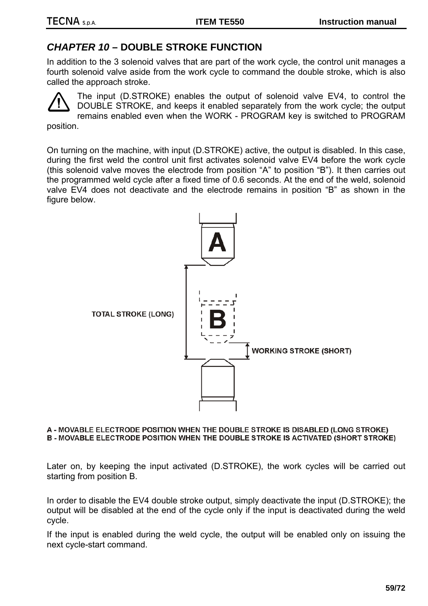## *CHAPTER 10* **– DOUBLE STROKE FUNCTION**

In addition to the 3 solenoid valves that are part of the work cycle, the control unit manages a fourth solenoid valve aside from the work cycle to command the double stroke, which is also called the approach stroke.

The input (D.STROKE) enables the output of solenoid valve EV4, to control the DOUBLE STROKE, and keeps it enabled separately from the work cycle; the output remains enabled even when the WORK - PROGRAM key is switched to PROGRAM

position.

On turning on the machine, with input (D.STROKE) active, the output is disabled. In this case, during the first weld the control unit first activates solenoid valve EV4 before the work cycle (this solenoid valve moves the electrode from position "A" to position "B"). It then carries out the programmed weld cycle after a fixed time of 0.6 seconds. At the end of the weld, solenoid valve EV4 does not deactivate and the electrode remains in position "B" as shown in the figure below.



#### A - MOVABLE ELECTRODE POSITION WHEN THE DOUBLE STROKE IS DISABLED (LONG STROKE) B - MOVABLE ELECTRODE POSITION WHEN THE DOUBLE STROKE IS ACTIVATED (SHORT STROKE)

Later on, by keeping the input activated (D.STROKE), the work cycles will be carried out starting from position B.

In order to disable the EV4 double stroke output, simply deactivate the input (D.STROKE); the output will be disabled at the end of the cycle only if the input is deactivated during the weld cycle.

If the input is enabled during the weld cycle, the output will be enabled only on issuing the next cycle-start command.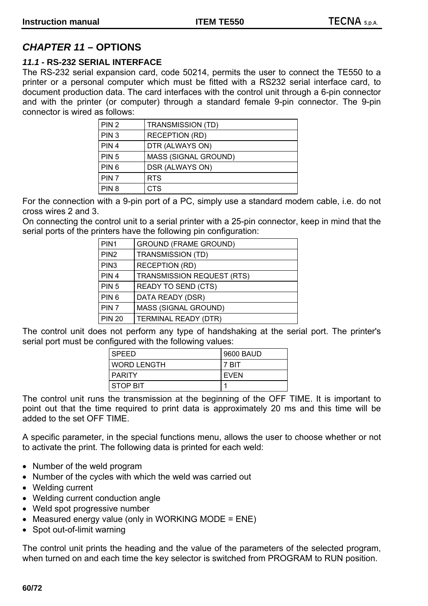## *CHAPTER 11* **– OPTIONS**

#### *11.1* **- RS-232 SERIAL INTERFACE**

The RS-232 serial expansion card, code 50214, permits the user to connect the TE550 to a printer or a personal computer which must be fitted with a RS232 serial interface card, to document production data. The card interfaces with the control unit through a 6-pin connector and with the printer (or computer) through a standard female 9-pin connector. The 9-pin connector is wired as follows:

| PIN <sub>2</sub> | <b>TRANSMISSION (TD)</b>    |
|------------------|-----------------------------|
| PIN <sub>3</sub> | <b>RECEPTION (RD)</b>       |
| PIN <sub>4</sub> | DTR (ALWAYS ON)             |
| PIN <sub>5</sub> | <b>MASS (SIGNAL GROUND)</b> |
| PIN <sub>6</sub> | DSR (ALWAYS ON)             |
| PIN <sub>7</sub> | <b>RTS</b>                  |
| PIN <sub>8</sub> | <b>CTS</b>                  |

For the connection with a 9-pin port of a PC, simply use a standard modem cable, i.e. do not cross wires 2 and 3.

On connecting the control unit to a serial printer with a 25-pin connector, keep in mind that the serial ports of the printers have the following pin configuration:

| PIN <sub>1</sub> | <b>GROUND (FRAME GROUND)</b>      |
|------------------|-----------------------------------|
| PIN <sub>2</sub> | <b>TRANSMISSION (TD)</b>          |
| PIN <sub>3</sub> | <b>RECEPTION (RD)</b>             |
| PIN <sub>4</sub> | <b>TRANSMISSION REQUEST (RTS)</b> |
| PIN <sub>5</sub> | <b>READY TO SEND (CTS)</b>        |
| PIN <sub>6</sub> | DATA READY (DSR)                  |
| PIN <sub>7</sub> | MASS (SIGNAL GROUND)              |
| <b>PIN 20</b>    | <b>TERMINAL READY (DTR)</b>       |
|                  |                                   |

The control unit does not perform any type of handshaking at the serial port. The printer's serial port must be configured with the following values:

| SPEED              | 9600 BAUD   |
|--------------------|-------------|
| <b>WORD LENGTH</b> | 7 BIT       |
| <b>PARITY</b>      | <b>EVEN</b> |
| <b>STOP BIT</b>    |             |

The control unit runs the transmission at the beginning of the OFF TIME. It is important to point out that the time required to print data is approximately 20 ms and this time will be added to the set OFF TIME.

A specific parameter, in the special functions menu, allows the user to choose whether or not to activate the print. The following data is printed for each weld:

- Number of the weld program
- Number of the cycles with which the weld was carried out
- Welding current
- Welding current conduction angle
- Weld spot progressive number
- Measured energy value (only in WORKING MODE = ENE)
- Spot out-of-limit warning

The control unit prints the heading and the value of the parameters of the selected program, when turned on and each time the key selector is switched from PROGRAM to RUN position.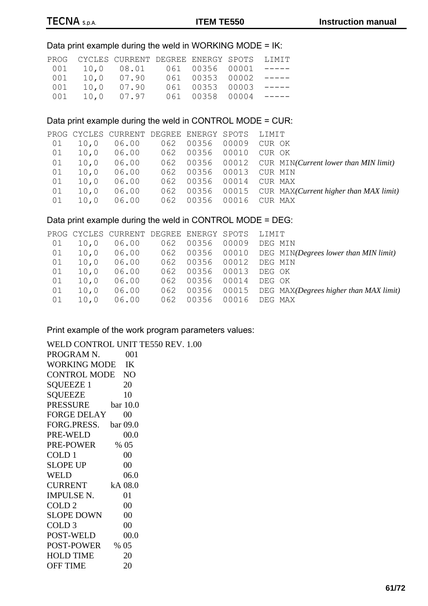## Data print example during the weld in WORKING MODE = IK:

|     | PROG CYCLES CURRENT DEGREE ENERGY SPOTS LIMIT |  |  |
|-----|-----------------------------------------------|--|--|
|     | $001$ 10,0 08.01 061 00356 00001 -----        |  |  |
|     | $001$ 10,0 07.90 061 00353 00002 -----        |  |  |
| 001 | $10.0$ $07.90$ $061$ $00353$ $00003$ $---$    |  |  |
|     | $001$ 10,0 07.97 061 00358 00004 -----        |  |  |

### Data print example during the weld in CONTROL MODE = CUR:

|    | PROG CYCLES | CURRENT   |     | DEGREE ENERGY SPOTS |       | LIMIT                                              |
|----|-------------|-----------|-----|---------------------|-------|----------------------------------------------------|
| 01 | 10,0        | 06.00     | 062 | 00356               | 00009 | CUR OK                                             |
| 01 | 10,0        | 06.00 062 |     | 00356               | 00010 | CUR OK                                             |
| 01 | 10,0        | 06.00     | 062 |                     |       | 00356 00012 CUR MIN(Current lower than MIN limit)  |
| 01 | 10,0        | 06.00     | 062 | 00356               | 00013 | CUR MIN                                            |
| 01 | 10,0        | 06.00     | 062 | 00356               | 00014 | CUR MAX                                            |
| 01 | 10,0        | 06.00     | 062 |                     |       | 00356 00015 CUR MAX(Current higher than MAX limit) |
| 01 | 10,0        | 06.00     | 062 | 00356               | 00016 | CUR MAX                                            |
|    |             |           |     |                     |       |                                                    |

### Data print example during the weld in CONTROL MODE = DEG:

|     | PROG CYCLES | CURRENT DEGREE ENERGY SPOTS |     |       |       | LIMIT                                              |
|-----|-------------|-----------------------------|-----|-------|-------|----------------------------------------------------|
| -01 | 10,0        | 06.00                       | 062 | 00356 | 00009 | DEG MIN                                            |
| 01  | 10,0        | 06.00 062                   |     |       |       | 00356 00010 DEG MIN(Degrees lower than MIN limit)  |
| 01  | 10,0        | 06.00                       | 062 | 00356 | 00012 | DEG MIN                                            |
| 01  | 10,0        | 06.00                       | 062 | 00356 | 00013 | DEG OK                                             |
| 01  | 10,0        | 06.00                       | 062 | 00356 | 00014 | DEG OK                                             |
| 01  | 10,0        | 06.00                       | 062 |       |       | 00356 00015 DEG MAX(Degrees higher than MAX limit) |
| 01  | 10.0        | 06.00                       | 062 | 00356 | 00016 | DEG MAX                                            |
|     |             |                             |     |       |       |                                                    |

Print example of the work program parameters values:

| WELD CONTROL UNIT TE550 REV. 1.00 |      |          |  |
|-----------------------------------|------|----------|--|
| PROGRAM N.                        |      | 001      |  |
| WORKING MODE IK                   |      |          |  |
| CONTROL MODE NO                   |      |          |  |
| <b>SQUEEZE 1</b>                  |      | 20       |  |
| <b>SQUEEZE</b>                    |      | 10       |  |
| PRESSURE                          |      | bar 10.0 |  |
| <b>FORGE DELAY</b>                |      | $00\,$   |  |
| FORG.PRESS. bar 09.0              |      |          |  |
| PRE-WELD                          |      | 00.0     |  |
| PRE-POWER                         |      | % 05     |  |
| COLD <sub>1</sub>                 |      | $00\,$   |  |
| SLOPE UP                          |      | 00       |  |
| WEL D                             |      | 06.0     |  |
| CURRENT                           |      | kA 08.0  |  |
| IMPULSE N.                        |      | 01       |  |
| COLD <sub>2</sub>                 |      | 00       |  |
| <b>SLOPE DOWN</b>                 |      | 00       |  |
| COLD <sub>3</sub>                 |      | 00       |  |
| POST-WELD                         |      | 00.0     |  |
| <b>POST-POWER</b>                 | % 05 |          |  |
| <b>HOLD TIME</b>                  |      | 20       |  |
| <b>OFF TIME</b>                   |      | 20       |  |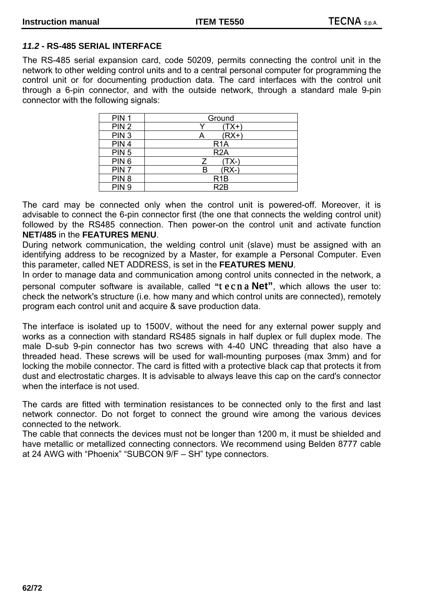#### *11.2* **- RS-485 SERIAL INTERFACE**

The RS-485 serial expansion card, code 50209, permits connecting the control unit in the network to other welding control units and to a central personal computer for programming the control unit or for documenting production data. The card interfaces with the control unit through a 6-pin connector, and with the outside network, through a standard male 9-pin connector with the following signals:

| PIN <sub>1</sub> | Ground           |
|------------------|------------------|
| PIN <sub>2</sub> | $(TX+)$          |
| PIN <sub>3</sub> | $(RX+)$          |
| PIN <sub>4</sub> | R <sub>1</sub> A |
| PIN <sub>5</sub> | R <sub>2</sub> A |
| PIN <sub>6</sub> | $(TX-)$          |
| PIN <sub>7</sub> | $(RX-)$<br>в     |
| PIN <sub>8</sub> | R <sub>1</sub> B |
| PIN <sub>9</sub> | R2B              |

The card may be connected only when the control unit is powered-off. Moreover, it is advisable to connect the 6-pin connector first (the one that connects the welding control unit) followed by the RS485 connection. Then power-on the control unit and activate function **NET/485** in the **FEATURES MENU**.

During network communication, the welding control unit (slave) must be assigned with an identifying address to be recognized by a Master, for example a Personal Computer. Even this parameter, called NET ADDRESS, is set in the **FEATURES MENU**.

In order to manage data and communication among control units connected in the network, a personal computer software is available, called "t e c n a Net", which allows the user to: check the network's structure (i.e. how many and which control units are connected), remotely program each control unit and acquire & save production data.

The interface is isolated up to 1500V, without the need for any external power supply and works as a connection with standard RS485 signals in half duplex or full duplex mode. The male D-sub 9-pin connector has two screws with 4-40 UNC threading that also have a threaded head. These screws will be used for wall-mounting purposes (max 3mm) and for locking the mobile connector. The card is fitted with a protective black cap that protects it from dust and electrostatic charges. It is advisable to always leave this cap on the card's connector when the interface is not used.

The cards are fitted with termination resistances to be connected only to the first and last network connector. Do not forget to connect the ground wire among the various devices connected to the network.

The cable that connects the devices must not be longer than 1200 m, it must be shielded and have metallic or metallized connecting connectors. We recommend using Belden 8777 cable at 24 AWG with "Phoenix" "SUBCON 9/F – SH" type connectors.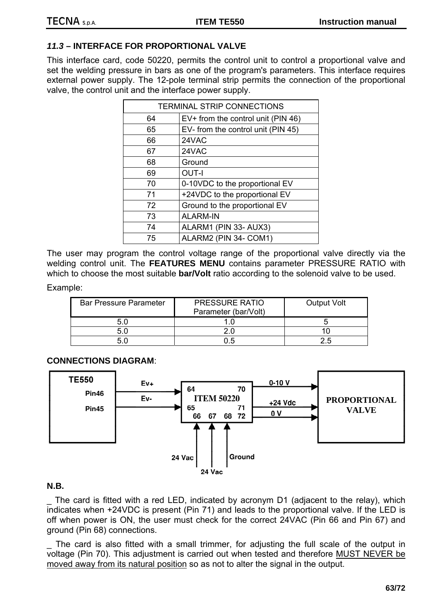### *11.3* **– INTERFACE FOR PROPORTIONAL VALVE**

This interface card, code 50220, permits the control unit to control a proportional valve and set the welding pressure in bars as one of the program's parameters. This interface requires external power supply. The 12-pole terminal strip permits the connection of the proportional valve, the control unit and the interface power supply.

| <b>TERMINAL STRIP CONNECTIONS</b>          |                                    |  |  |
|--------------------------------------------|------------------------------------|--|--|
| 64<br>$EV+$ from the control unit (PIN 46) |                                    |  |  |
| 65                                         | EV- from the control unit (PIN 45) |  |  |
| 66                                         | 24VAC                              |  |  |
| 67                                         | 24VAC                              |  |  |
| 68                                         | Ground                             |  |  |
| 69                                         | <b>OUT-I</b>                       |  |  |
| 70                                         | 0-10VDC to the proportional EV     |  |  |
| 71                                         | +24VDC to the proportional EV      |  |  |
| 72                                         | Ground to the proportional EV      |  |  |
| 73                                         | <b>ALARM-IN</b>                    |  |  |
| 74                                         | ALARM1 (PIN 33- AUX3)              |  |  |
| 75                                         | ALARM2 (PIN 34- COM1)              |  |  |

The user may program the control voltage range of the proportional valve directly via the welding control unit. The **FEATURES MENU** contains parameter PRESSURE RATIO with which to choose the most suitable **bar/Volt** ratio according to the solenoid valve to be used. Example:

| <b>Bar Pressure Parameter</b> | <b>PRESSURE RATIO</b><br>Parameter (bar/Volt) | <b>Output Volt</b> |
|-------------------------------|-----------------------------------------------|--------------------|
|                               |                                               |                    |
|                               |                                               |                    |
|                               | .5                                            |                    |

#### **CONNECTIONS DIAGRAM**:



#### **N.B.**

The card is fitted with a red LED, indicated by acronym D1 (adjacent to the relay), which indicates when +24VDC is present (Pin 71) and leads to the proportional valve. If the LED is off when power is ON, the user must check for the correct 24VAC (Pin 66 and Pin 67) and ground (Pin 68) connections.

The card is also fitted with a small trimmer, for adjusting the full scale of the output in voltage (Pin 70). This adjustment is carried out when tested and therefore MUST NEVER be moved away from its natural position so as not to alter the signal in the output.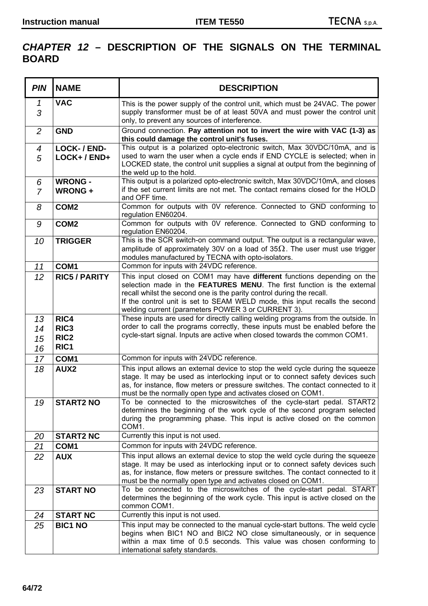# *CHAPTER 12* **– DESCRIPTION OF THE SIGNALS ON THE TERMINAL BOARD**

| <b>PIN</b>       | <b>NAME</b>          | <b>DESCRIPTION</b>                                                                                                                                                                                                                                                                                                                                               |
|------------------|----------------------|------------------------------------------------------------------------------------------------------------------------------------------------------------------------------------------------------------------------------------------------------------------------------------------------------------------------------------------------------------------|
| 1<br>3           | <b>VAC</b>           | This is the power supply of the control unit, which must be 24VAC. The power<br>supply transformer must be of at least 50VA and must power the control unit<br>only, to prevent any sources of interference.                                                                                                                                                     |
| $\overline{2}$   | <b>GND</b>           | Ground connection. Pay attention not to invert the wire with VAC (1-3) as<br>this could damage the control unit's fuses.                                                                                                                                                                                                                                         |
| $\boldsymbol{4}$ | LOCK- / END-         | This output is a polarized opto-electronic switch, Max 30VDC/10mA, and is                                                                                                                                                                                                                                                                                        |
| 5                | LOCK+/END+           | used to warn the user when a cycle ends if END CYCLE is selected; when in<br>LOCKED state, the control unit supplies a signal at output from the beginning of<br>the weld up to the hold.                                                                                                                                                                        |
| 6                | <b>WRONG -</b>       | This output is a polarized opto-electronic switch, Max 30VDC/10mA, and closes                                                                                                                                                                                                                                                                                    |
| $\overline{7}$   | <b>WRONG +</b>       | if the set current limits are not met. The contact remains closed for the HOLD<br>and OFF time.                                                                                                                                                                                                                                                                  |
| 8                | COM <sub>2</sub>     | Common for outputs with OV reference. Connected to GND conforming to<br>regulation EN60204.                                                                                                                                                                                                                                                                      |
| 9                | COM <sub>2</sub>     | Common for outputs with OV reference. Connected to GND conforming to<br>regulation EN60204.                                                                                                                                                                                                                                                                      |
| 10               | <b>TRIGGER</b>       | This is the SCR switch-on command output. The output is a rectangular wave,<br>amplitude of approximately 30V on a load of $35\Omega$ . The user must use trigger<br>modules manufactured by TECNA with opto-isolators.                                                                                                                                          |
| 11               | COM1                 | Common for inputs with 24VDC reference.                                                                                                                                                                                                                                                                                                                          |
| 12               | <b>RIC5 / PARITY</b> | This input closed on COM1 may have different functions depending on the<br>selection made in the FEATURES MENU. The first function is the external<br>recall whilst the second one is the parity control during the recall.<br>If the control unit is set to SEAM WELD mode, this input recalls the second<br>welding current (parameters POWER 3 or CURRENT 3). |
| 13               | RIC4                 | These inputs are used for directly calling welding programs from the outside. In                                                                                                                                                                                                                                                                                 |
| 14               | RIC <sub>3</sub>     | order to call the programs correctly, these inputs must be enabled before the                                                                                                                                                                                                                                                                                    |
| 15               | RIC <sub>2</sub>     | cycle-start signal. Inputs are active when closed towards the common COM1.                                                                                                                                                                                                                                                                                       |
| 16               | RIC1                 |                                                                                                                                                                                                                                                                                                                                                                  |
| 17               | COM1                 | Common for inputs with 24VDC reference.                                                                                                                                                                                                                                                                                                                          |
| 18               | <b>AUX2</b>          | This input allows an external device to stop the weld cycle during the squeeze<br>stage. It may be used as interlocking input or to connect safety devices such<br>as, for instance, flow meters or pressure switches. The contact connected to it<br>must be the normally open type and activates closed on COM1.                                               |
| 19               | <b>START2 NO</b>     | To be connected to the microswitches of the cycle-start pedal. START2<br>determines the beginning of the work cycle of the second program selected<br>during the programming phase. This input is active closed on the common<br>COM1.                                                                                                                           |
| 20               | <b>START2 NC</b>     | Currently this input is not used.                                                                                                                                                                                                                                                                                                                                |
| 21               | COM1                 | Common for inputs with 24VDC reference.                                                                                                                                                                                                                                                                                                                          |
| 22               | <b>AUX</b>           | This input allows an external device to stop the weld cycle during the squeeze<br>stage. It may be used as interlocking input or to connect safety devices such<br>as, for instance, flow meters or pressure switches. The contact connected to it<br>must be the normally open type and activates closed on COM1.                                               |
| 23               | <b>START NO</b>      | To be connected to the microswitches of the cycle-start pedal. START<br>determines the beginning of the work cycle. This input is active closed on the<br>common COM1.                                                                                                                                                                                           |
| 24               | <b>START NC</b>      | Currently this input is not used.                                                                                                                                                                                                                                                                                                                                |
| 25               | <b>BIC1 NO</b>       | This input may be connected to the manual cycle-start buttons. The weld cycle<br>begins when BIC1 NO and BIC2 NO close simultaneously, or in sequence<br>within a max time of 0.5 seconds. This value was chosen conforming to<br>international safety standards.                                                                                                |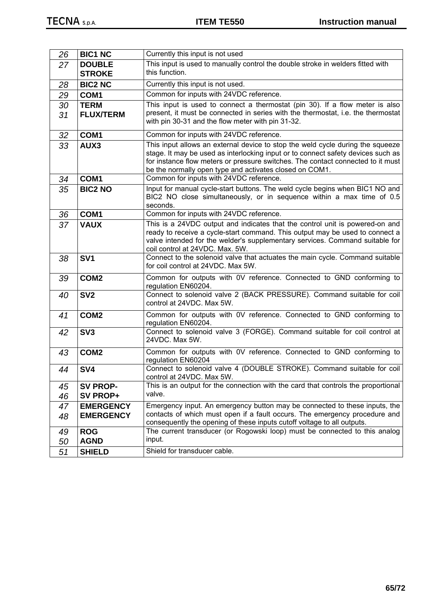| 26 | <b>BIC1 NC</b>   | Currently this input is not used                                                                                                                         |  |  |  |  |
|----|------------------|----------------------------------------------------------------------------------------------------------------------------------------------------------|--|--|--|--|
| 27 | <b>DOUBLE</b>    | This input is used to manually control the double stroke in welders fitted with                                                                          |  |  |  |  |
|    | <b>STROKE</b>    | this function.                                                                                                                                           |  |  |  |  |
| 28 | <b>BIC2 NC</b>   | Currently this input is not used.                                                                                                                        |  |  |  |  |
| 29 | COM1             | Common for inputs with 24VDC reference.                                                                                                                  |  |  |  |  |
| 30 | <b>TERM</b>      | This input is used to connect a thermostat (pin 30). If a flow meter is also                                                                             |  |  |  |  |
| 31 | <b>FLUX/TERM</b> | present, it must be connected in series with the thermostat, i.e. the thermostat                                                                         |  |  |  |  |
|    |                  | with pin 30-31 and the flow meter with pin 31-32.                                                                                                        |  |  |  |  |
| 32 | COM1             | Common for inputs with 24VDC reference.                                                                                                                  |  |  |  |  |
| 33 | AUX3             | This input allows an external device to stop the weld cycle during the squeeze                                                                           |  |  |  |  |
|    |                  | stage. It may be used as interlocking input or to connect safety devices such as                                                                         |  |  |  |  |
|    |                  | for instance flow meters or pressure switches. The contact connected to it must                                                                          |  |  |  |  |
|    |                  | be the normally open type and activates closed on COM1.                                                                                                  |  |  |  |  |
| 34 | COM1             | Common for inputs with 24VDC reference.                                                                                                                  |  |  |  |  |
| 35 | <b>BIC2 NO</b>   | Input for manual cycle-start buttons. The weld cycle begins when BIC1 NO and<br>BIC2 NO close simultaneously, or in sequence within a max time of 0.5    |  |  |  |  |
|    |                  | seconds.                                                                                                                                                 |  |  |  |  |
| 36 | COM1             | Common for inputs with 24VDC reference.                                                                                                                  |  |  |  |  |
| 37 | <b>VAUX</b>      | This is a 24VDC output and indicates that the control unit is powered-on and                                                                             |  |  |  |  |
|    |                  | ready to receive a cycle-start command. This output may be used to connect a                                                                             |  |  |  |  |
|    |                  | valve intended for the welder's supplementary services. Command suitable for                                                                             |  |  |  |  |
|    |                  | coil control at 24VDC. Max. 5W.                                                                                                                          |  |  |  |  |
| 38 | SV <sub>1</sub>  | Connect to the solenoid valve that actuates the main cycle. Command suitable                                                                             |  |  |  |  |
|    |                  | for coil control at 24VDC. Max 5W.                                                                                                                       |  |  |  |  |
| 39 | COM <sub>2</sub> | Common for outputs with OV reference. Connected to GND conforming to<br>regulation EN60204.                                                              |  |  |  |  |
| 40 | SV <sub>2</sub>  | Connect to solenoid valve 2 (BACK PRESSURE). Command suitable for coil                                                                                   |  |  |  |  |
|    |                  | control at 24VDC. Max 5W.                                                                                                                                |  |  |  |  |
| 41 | COM <sub>2</sub> | Common for outputs with 0V reference. Connected to GND conforming to                                                                                     |  |  |  |  |
|    |                  | regulation EN60204.                                                                                                                                      |  |  |  |  |
| 42 | SV <sub>3</sub>  | Connect to solenoid valve 3 (FORGE). Command suitable for coil control at                                                                                |  |  |  |  |
|    |                  | 24VDC. Max 5W.                                                                                                                                           |  |  |  |  |
| 43 | COM <sub>2</sub> | Common for outputs with OV reference. Connected to GND conforming to                                                                                     |  |  |  |  |
|    |                  | regulation EN60204                                                                                                                                       |  |  |  |  |
| 44 | SV4              | Connect to solenoid valve 4 (DOUBLE STROKE). Command suitable for coil                                                                                   |  |  |  |  |
|    | <b>SV PROP-</b>  | control at 24VDC. Max 5W.<br>This is an output for the connection with the card that controls the proportional                                           |  |  |  |  |
| 45 | SV PROP+         | valve.                                                                                                                                                   |  |  |  |  |
| 46 |                  |                                                                                                                                                          |  |  |  |  |
| 47 | <b>EMERGENCY</b> | Emergency input. An emergency button may be connected to these inputs, the<br>contacts of which must open if a fault occurs. The emergency procedure and |  |  |  |  |
| 48 | <b>EMERGENCY</b> | consequently the opening of these inputs cutoff voltage to all outputs.                                                                                  |  |  |  |  |
| 49 | <b>ROG</b>       | The current transducer (or Rogowski loop) must be connected to this analog                                                                               |  |  |  |  |
| 50 | <b>AGND</b>      | input.                                                                                                                                                   |  |  |  |  |
| 51 | <b>SHIELD</b>    | Shield for transducer cable.                                                                                                                             |  |  |  |  |
|    |                  |                                                                                                                                                          |  |  |  |  |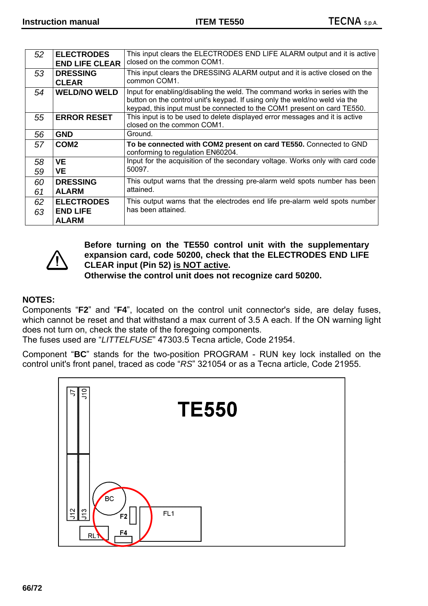| 52 | <b>ELECTRODES</b><br><b>END LIFE CLEAR</b> | This input clears the ELECTRODES END LIFE ALARM output and it is active<br>closed on the common COM1.                                                                                                                                 |
|----|--------------------------------------------|---------------------------------------------------------------------------------------------------------------------------------------------------------------------------------------------------------------------------------------|
| 53 | <b>DRESSING</b><br><b>CLEAR</b>            | This input clears the DRESSING ALARM output and it is active closed on the<br>common COM1.                                                                                                                                            |
| 54 | <b>WELD/NO WELD</b>                        | Input for enabling/disabling the weld. The command works in series with the<br>button on the control unit's keypad. If using only the weld/no weld via the<br>keypad, this input must be connected to the COM1 present on card TE550. |
| 55 | <b>ERROR RESET</b>                         | This input is to be used to delete displayed error messages and it is active<br>closed on the common COM1.                                                                                                                            |
| 56 | <b>GND</b>                                 | Ground.                                                                                                                                                                                                                               |
| 57 | COM <sub>2</sub>                           | To be connected with COM2 present on card TE550. Connected to GND<br>conforming to regulation EN60204.                                                                                                                                |
| 58 | VE.                                        | Input for the acquisition of the secondary voltage. Works only with card code                                                                                                                                                         |
| 59 | VE                                         | 50097.                                                                                                                                                                                                                                |
| 60 | <b>DRESSING</b>                            | This output warns that the dressing pre-alarm weld spots number has been                                                                                                                                                              |
| 61 | <b>ALARM</b>                               | attained.                                                                                                                                                                                                                             |
| 62 | <b>ELECTRODES</b>                          | This output warns that the electrodes end life pre-alarm weld spots number                                                                                                                                                            |
| 63 | <b>END LIFE</b>                            | has been attained.                                                                                                                                                                                                                    |
|    | <b>ALARM</b>                               |                                                                                                                                                                                                                                       |



**Before turning on the TE550 control unit with the supplementary expansion card, code 50200, check that the ELECTRODES END LIFE CLEAR input (Pin 52) is NOT active. Otherwise the control unit does not recognize card 50200.**

#### **NOTES:**

Components "**F2**" and "**F4**", located on the control unit connector's side, are delay fuses, which cannot be reset and that withstand a max current of 3.5 A each. If the ON warning light does not turn on, check the state of the foregoing components.

The fuses used are "*LITTELFUSE*" 47303.5 Tecna article, Code 21954.

Component "**BC**" stands for the two-position PROGRAM - RUN key lock installed on the control unit's front panel, traced as code "*RS*" 321054 or as a Tecna article, Code 21955.

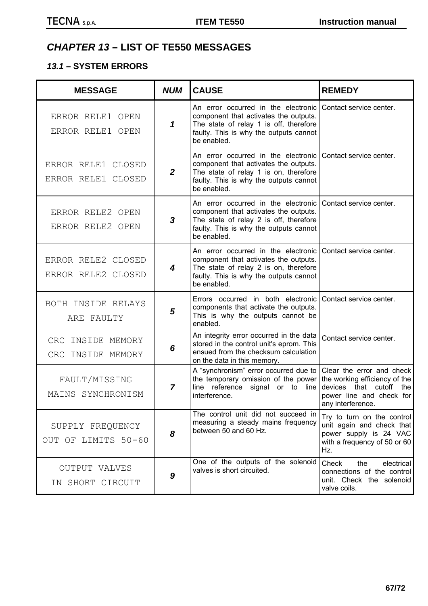# *CHAPTER 13* **– LIST OF TE550 MESSAGES**

## *13.1* **– SYSTEM ERRORS**

| <b>MESSAGE</b>                           | <b>NUM</b>       | <b>CAUSE</b>                                                                                                                                                                                            | <b>REMEDY</b>                                                                                                            |
|------------------------------------------|------------------|---------------------------------------------------------------------------------------------------------------------------------------------------------------------------------------------------------|--------------------------------------------------------------------------------------------------------------------------|
| ERROR RELE1 OPEN<br>ERROR RELE1 OPEN     | 1                | An error occurred in the electronic Contact service center.<br>component that activates the outputs.<br>The state of relay 1 is off, therefore<br>faulty. This is why the outputs cannot<br>be enabled. |                                                                                                                          |
| ERROR RELE1 CLOSED<br>ERROR RELE1 CLOSED | $\overline{2}$   | An error occurred in the electronic Contact service center.<br>component that activates the outputs.<br>The state of relay 1 is on, therefore<br>faulty. This is why the outputs cannot<br>be enabled.  |                                                                                                                          |
| ERROR RELE2 OPEN<br>ERROR RELE2 OPEN     | 3                | An error occurred in the electronic Contact service center.<br>component that activates the outputs.<br>The state of relay 2 is off, therefore<br>faulty. This is why the outputs cannot<br>be enabled. |                                                                                                                          |
| ERROR RELE2 CLOSED<br>ERROR RELE2 CLOSED | $\boldsymbol{4}$ | An error occurred in the electronic Contact service center.<br>component that activates the outputs.<br>The state of relay 2 is on, therefore<br>faulty. This is why the outputs cannot<br>be enabled.  |                                                                                                                          |
| BOTH INSIDE RELAYS<br>ARE FAULTY         | 5                | Errors occurred in both electronic Contact service center.<br>components that activate the outputs.<br>This is why the outputs cannot be<br>enabled.                                                    |                                                                                                                          |
| CRC INSIDE MEMORY<br>CRC INSIDE MEMORY   | 6                | An integrity error occurred in the data<br>stored in the control unit's eprom. This<br>ensued from the checksum calculation<br>on the data in this memory.                                              | Contact service center.                                                                                                  |
| FAULT/MISSING<br>MAINS SYNCHRONISM       | 7                | A "synchronism" error occurred due to Clear the error and check<br>the temporary omission of the power the working efficiency of the<br>line reference<br>signal or to line<br>interference.            | devices that cutoff the<br>power line and check for<br>any interference.                                                 |
| SUPPLY FREQUENCY<br>OUT OF LIMITS 50-60  | 8                | The control unit did not succeed in<br>measuring a steady mains frequency<br>between 50 and 60 Hz.                                                                                                      | Try to turn on the control<br>unit again and check that<br>power supply is 24 VAC<br>with a frequency of 50 or 60<br>Hz. |
| OUTPUT VALVES<br>IN SHORT CIRCUIT        | 9                | One of the outputs of the solenoid<br>valves is short circuited.                                                                                                                                        | Check<br>the<br>electrical<br>connections of the control<br>unit. Check the solenoid<br>valve coils.                     |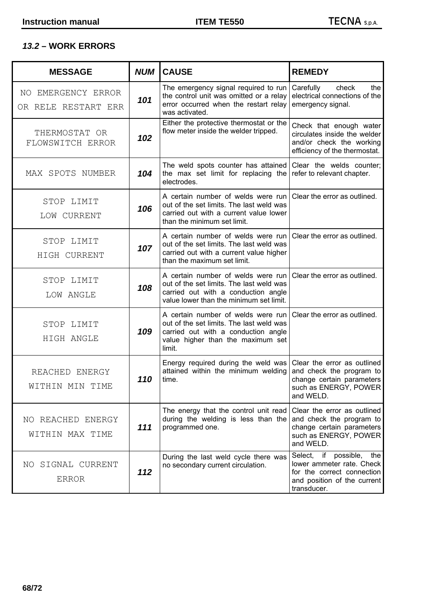## *13.2* **– WORK ERRORS**

| <b>MESSAGE</b>                            |     | <b>NUM CAUSE</b>                                                                                                                                                                              | <b>REMEDY</b>                                                                                                                     |
|-------------------------------------------|-----|-----------------------------------------------------------------------------------------------------------------------------------------------------------------------------------------------|-----------------------------------------------------------------------------------------------------------------------------------|
| NO EMERGENCY ERROR<br>OR RELE RESTART ERR | 101 | The emergency signal required to run<br>the control unit was omitted or a relay<br>error occurred when the restart relay<br>was activated.                                                    | Carefully<br>check<br>the<br>electrical connections of the<br>emergency signal.                                                   |
| THERMOSTAT OR<br>FLOWSWITCH ERROR         | 102 | Either the protective thermostat or the<br>flow meter inside the welder tripped.                                                                                                              | Check that enough water<br>circulates inside the welder<br>and/or check the working<br>efficiency of the thermostat.              |
| MAX SPOTS NUMBER                          | 104 | The weld spots counter has attained<br>the max set limit for replacing the<br>electrodes.                                                                                                     | Clear the welds counter;<br>refer to relevant chapter.                                                                            |
| STOP LIMIT<br>LOW CURRENT                 | 106 | A certain number of welds were run<br>out of the set limits. The last weld was<br>carried out with a current value lower<br>than the minimum set limit.                                       | Clear the error as outlined.                                                                                                      |
| STOP LIMIT<br>HIGH CURRENT                | 107 | A certain number of welds were run Clear the error as outlined.<br>out of the set limits. The last weld was<br>carried out with a current value higher<br>than the maximum set limit.         |                                                                                                                                   |
| STOP LIMIT<br>LOW ANGLE                   | 108 | A certain number of welds were run Clear the error as outlined.<br>out of the set limits. The last weld was<br>carried out with a conduction angle<br>value lower than the minimum set limit. |                                                                                                                                   |
| STOP LIMIT<br>HIGH ANGLE                  | 109 | A certain number of welds were run<br>out of the set limits. The last weld was<br>carried out with a conduction angle<br>value higher than the maximum set<br>limit.                          | Clear the error as outlined.                                                                                                      |
| REACHED<br>ENERGY<br>WITHIN MIN TIME      | 110 | Energy required during the weld was Clear the error as outlined<br>attained within the minimum welding<br>time.                                                                               | and check the program to<br>change certain parameters<br>such as ENERGY, POWER<br>and WELD.                                       |
| NO REACHED ENERGY<br>WITHIN MAX TIME      | 111 | The energy that the control unit read<br>during the welding is less than the<br>programmed one.                                                                                               | Clear the error as outlined<br>and check the program to<br>change certain parameters<br>such as ENERGY, POWER<br>and WELD.        |
| NO SIGNAL CURRENT<br><b>ERROR</b>         | 112 | During the last weld cycle there was<br>no secondary current circulation.                                                                                                                     | Select, if possible, the<br>lower ammeter rate. Check<br>for the correct connection<br>and position of the current<br>transducer. |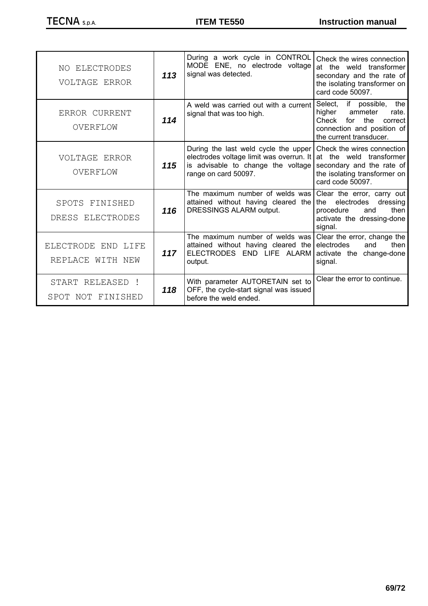| NO ELECTRODES<br>VOLTAGE ERROR                        | 113 | During a work cycle in CONTROL<br>MODE ENE, no electrode voltage<br>signal was detected.                                                       | Check the wires connection<br>at the weld transformer<br>secondary and the rate of<br>the isolating transformer on<br>card code 50097.               |
|-------------------------------------------------------|-----|------------------------------------------------------------------------------------------------------------------------------------------------|------------------------------------------------------------------------------------------------------------------------------------------------------|
| ERROR CURRENT<br>OVERFLOW                             | 114 | A weld was carried out with a current<br>signal that was too high.                                                                             | Select, if possible,<br>the<br>higher<br>ammeter<br>rate.<br>Check<br>for<br>the<br>correct<br>connection and position of<br>the current transducer. |
| VOLTAGE ERROR<br>OVERFLOW                             | 115 | During the last weld cycle the upper<br>electrodes voltage limit was overrun. It<br>is advisable to change the voltage<br>range on card 50097. | Check the wires connection<br>at the weld transformer<br>secondary and the rate of<br>the isolating transformer on<br>card code 50097.               |
| SPOTS FINISHED<br>DRESS ELECTRODES                    | 116 | The maximum number of welds was<br>attained without having cleared the<br>DRESSINGS ALARM output.                                              | Clear the error, carry out<br>electrodes<br>dressing<br>the<br>then<br>procedure<br>and<br>activate the dressing-done<br>signal.                     |
| <b>ELECTRODE</b><br>END<br>T.T FE<br>REPLACE WITH NEW | 117 | The maximum number of welds was<br>attained without having cleared the<br>ELECTRODES END LIFE ALARM<br>output.                                 | Clear the error, change the<br>electrodes<br>then<br>and<br>activate the change-done<br>signal.                                                      |
| START RELEASED !<br>FINISHED<br>SPOT NOT              | 118 | With parameter AUTORETAIN set to<br>OFF, the cycle-start signal was issued<br>before the weld ended.                                           | Clear the error to continue.                                                                                                                         |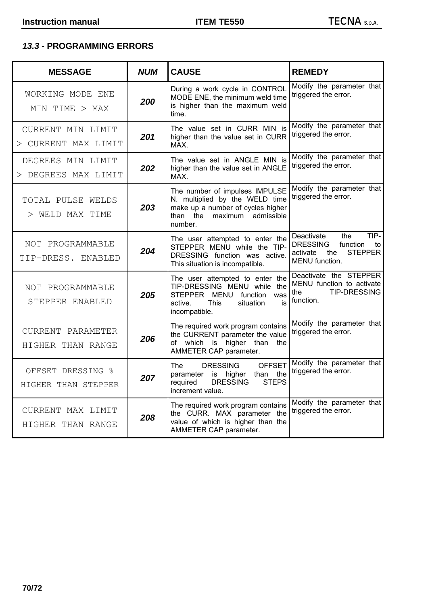## *13.3* **- PROGRAMMING ERRORS**

| <b>MESSAGE</b>                           | <b>NUM</b> | <b>CAUSE</b>                                                                                                                                                 | <b>REMEDY</b>                                                                                                         |
|------------------------------------------|------------|--------------------------------------------------------------------------------------------------------------------------------------------------------------|-----------------------------------------------------------------------------------------------------------------------|
| WORKING MODE ENE<br>MIN TIME > MAX       | 200        | During a work cycle in CONTROL<br>MODE ENE, the minimum weld time<br>is higher than the maximum weld<br>time.                                                | Modify the parameter that<br>triggered the error.                                                                     |
| CURRENT MIN LIMIT<br>> CURRENT MAX LIMIT | 201        | The value set in CURR MIN is<br>higher than the value set in CURR<br>MAX.                                                                                    | Modify the parameter that<br>triggered the error.                                                                     |
| DEGREES MIN LIMIT<br>> DEGREES MAX LIMIT | 202        | The value set in ANGLE MIN is<br>higher than the value set in ANGLE<br>MAX.                                                                                  | Modify the parameter that<br>triggered the error.                                                                     |
| TOTAL PULSE WELDS<br>> WELD MAX TIME     | 203        | The number of impulses IMPULSE<br>N. multiplied by the WELD time<br>make up a number of cycles higher<br>than the<br>maximum admissible<br>number.           | Modify the parameter that<br>triggered the error.                                                                     |
| NOT PROGRAMMABLE<br>TIP-DRESS. ENABLED   | 204        | The user attempted to enter the<br>STEPPER MENU while the TIP-<br>DRESSING function was active.<br>This situation is incompatible.                           | the<br>TIP-<br>Deactivate<br><b>DRESSING</b><br>function<br>to<br>the<br><b>STEPPER</b><br>activate<br>MENU function. |
| NOT PROGRAMMABLE<br>STEPPER ENABLED      | 205        | The user attempted to enter the<br>TIP-DRESSING MENU while the<br>STEPPER MENU function<br>was<br>active.<br><b>This</b><br>situation<br>is<br>incompatible. | Deactivate the STEPPER<br>MENU function to activate<br>TIP-DRESSING<br>the<br>function.                               |
| CURRENT PARAMETER<br>HIGHER THAN RANGE   | 206        | The required work program contains<br>the CURRENT parameter the value<br>of which is higher than<br>the<br>AMMETER CAP parameter.                            | Modify the parameter that<br>triggered the error.                                                                     |
| OFFSET DRESSING %<br>HIGHER THAN STEPPER | 207        | <b>OFFSET</b><br>The I<br><b>DRESSING</b><br>parameter is higher than the<br><b>DRESSING</b><br>required<br><b>STEPS</b><br>increment value.                 | Modify the parameter that<br>triggered the error.                                                                     |
| CURRENT MAX LIMIT<br>HIGHER THAN RANGE   | 208        | The required work program contains<br>the CURR. MAX parameter the<br>value of which is higher than the<br>AMMETER CAP parameter.                             | Modify the parameter that<br>triggered the error.                                                                     |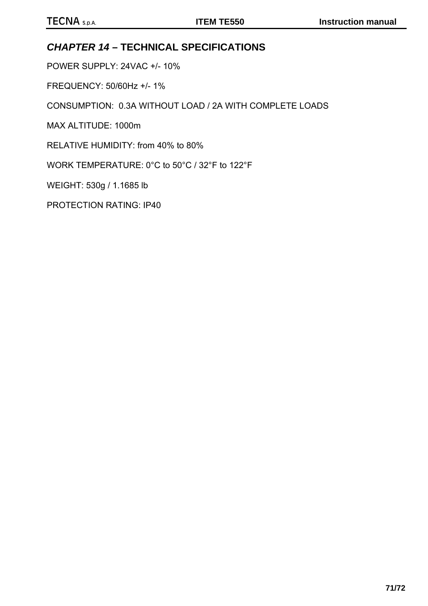## *CHAPTER 14* **– TECHNICAL SPECIFICATIONS**

POWER SUPPLY: 24VAC +/- 10%

FREQUENCY: 50/60Hz +/- 1%

CONSUMPTION: 0.3A WITHOUT LOAD / 2A WITH COMPLETE LOADS

MAX ALTITUDE: 1000m

RELATIVE HUMIDITY: from 40% to 80%

WORK TEMPERATURE: 0°C to 50°C / 32°F to 122°F

WEIGHT: 530g / 1.1685 lb

PROTECTION RATING: IP40